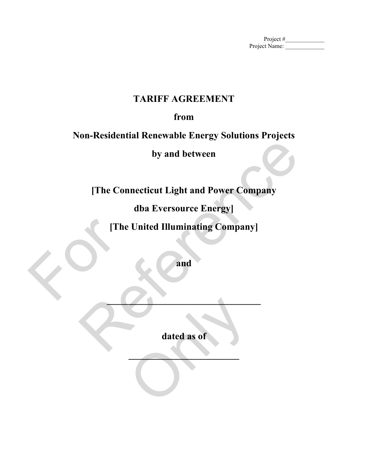Project #\_\_\_\_\_\_\_\_\_\_\_\_\_ Project Name:

# **TARIFF AGREEMENT**

# **from**

# **Non-Residential Renewable Energy Solutions Projects**

**by and between**

**[The Connecticut Light and Power Company**  by and between<br>
The Connecticut Light and Power Company<br>
dba Eversource Energy<br>
The United Illuminating Company<br>
and<br>
and<br>
dated as of

**dba Eversource Energy]**

**[The United Illuminating Company]** For the U.S. of the U.S. of the U.S. of the U.S. of the U.S. of the U.S. of the U.S. of the U.S. of the U.S. of the U.S. of the U.S. of the U.S. of the U.S. of the U.S. of the U.S. of the U.S. of the U.S. of the U.S. of th

**and** 

**\_\_\_\_\_\_\_\_\_\_\_\_\_\_\_\_\_\_\_\_\_\_\_\_\_\_\_\_\_\_\_\_**

**dated as of**  dated as of

**\_\_\_\_\_\_\_\_\_\_\_\_\_\_\_\_\_\_\_\_\_\_\_**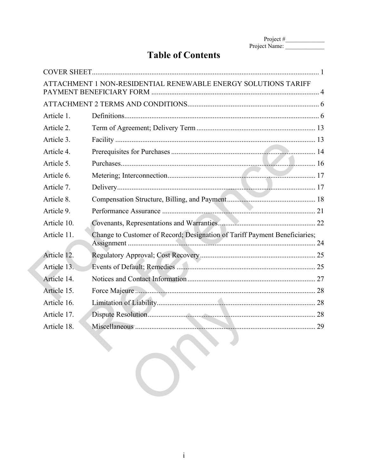| Project $#$   |  |
|---------------|--|
| Project Name: |  |

# **Table of Contents**

| ATTACHMENT 1 NON-RESIDENTIAL RENEWABLE ENERGY SOLUTIONS TARIFF             |  |
|----------------------------------------------------------------------------|--|
|                                                                            |  |
|                                                                            |  |
|                                                                            |  |
|                                                                            |  |
|                                                                            |  |
|                                                                            |  |
|                                                                            |  |
|                                                                            |  |
|                                                                            |  |
|                                                                            |  |
|                                                                            |  |
| Change to Customer of Record; Designation of Tariff Payment Beneficiaries; |  |
|                                                                            |  |
|                                                                            |  |
|                                                                            |  |
|                                                                            |  |
|                                                                            |  |
|                                                                            |  |
|                                                                            |  |
|                                                                            |  |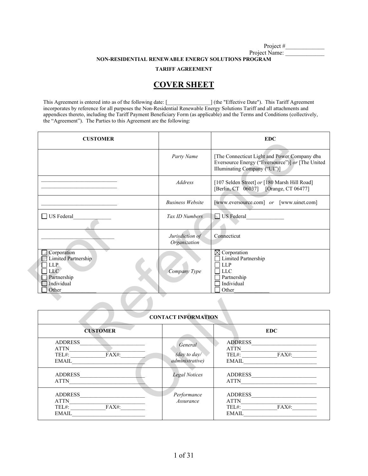Project #

Project Name: **NON-RESIDENTIAL RENEWABLE ENERGY SOLUTIONS PROGRAM**

**TARIFF AGREEMENT**

# **COVER SHEET**

This Agreement is entered into as of the following date: [\_\_\_\_\_\_\_\_\_\_\_\_\_\_\_\_] (the "Effective Date"). This Tariff Agreement incorporates by reference for all purposes the Non-Residential Renewable Energy Solutions Tariff and all attachments and appendices thereto, including the Tariff Payment Beneficiary Form (as applicable) and the Terms and Conditions (collectively, the "Agreement"). The Parties to this Agreement are the following:

| <b>CUSTOMER</b>                                                                                |                                 | <b>EDC</b>                                                                                                                       |
|------------------------------------------------------------------------------------------------|---------------------------------|----------------------------------------------------------------------------------------------------------------------------------|
|                                                                                                | Party Name                      | [The Connecticut Light and Power Company dba<br>Eversource Energy ("Eversource")] or [The United<br>Illuminating Company ("UI")] |
|                                                                                                | <b>Address</b>                  | [107 Selden Street] or [180 Marsh Hill Road]<br>[Berlin, CT 06037] [Orange, CT 06477]                                            |
|                                                                                                | <b>Business Website</b>         | [www.eversource.com] or [www.uinet.com]                                                                                          |
| □ US Federal                                                                                   | Tax ID Numbers                  | US Federal                                                                                                                       |
|                                                                                                | Jurisdiction of<br>Organization | Connecticut                                                                                                                      |
| Corporation<br>Limited Partnership<br>LLP.<br><b>LLC</b><br>Partnership<br>Individual<br>Other | Company Type                    | $\boxtimes$ Corporation<br>Limited Partnership<br><b>LLP</b><br><b>LLC</b><br>Partnership<br>Individual<br>Other                 |
|                                                                                                |                                 |                                                                                                                                  |
|                                                                                                | <b>CONTACT INFORMATION</b>      |                                                                                                                                  |
| <b>CUSTOMER</b>                                                                                |                                 | EDC                                                                                                                              |
| <b>ADDRESS</b><br><b>ATTN</b>                                                                  | General                         | <b>ADDRESS</b><br><b>ATTN</b>                                                                                                    |

| <b>CUSTOMER</b>                                              | <b>CONTACT INFORMATION</b>                 | <b>EDC</b>                                                             |
|--------------------------------------------------------------|--------------------------------------------|------------------------------------------------------------------------|
| <b>ADDRESS</b><br><b>ATTN</b><br>TEL#: FAX#:<br>EMAIL        | General<br>(day to day/<br>administrative) | <b>ADDRESS</b><br><b>ATTN</b><br>TEL#: FAX#:<br>$\boxed{\text{EMAIL}}$ |
| <b>ADDRESS</b><br><b>ATTN</b>                                | Legal Notices                              | ADDRESS<br><b>ATTN</b>                                                 |
| <b>ADDRESS</b><br><b>ATTN</b><br>TEL#: FAX#:<br><b>EMAIL</b> | Performance<br>Assurance                   | <b>ADDRESS</b><br><b>ATTN</b><br>TEL#: FAX#:<br><b>EMAIL</b>           |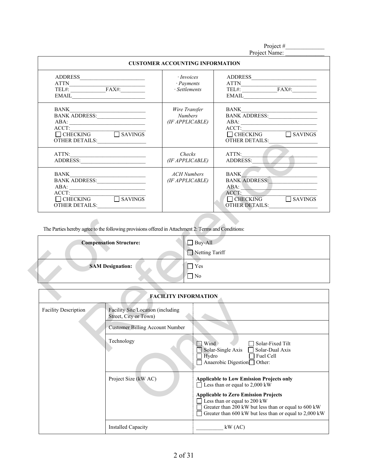Project #

|                                                                                                                                                                                                   |                                                                                                      |                                                    | Project Name:                                                                                                                                                                                                                                                                                                                                                                                                                                                                                                                                                        |
|---------------------------------------------------------------------------------------------------------------------------------------------------------------------------------------------------|------------------------------------------------------------------------------------------------------|----------------------------------------------------|----------------------------------------------------------------------------------------------------------------------------------------------------------------------------------------------------------------------------------------------------------------------------------------------------------------------------------------------------------------------------------------------------------------------------------------------------------------------------------------------------------------------------------------------------------------------|
|                                                                                                                                                                                                   |                                                                                                      | <b>CUSTOMER ACCOUNTING INFORMATION</b>             |                                                                                                                                                                                                                                                                                                                                                                                                                                                                                                                                                                      |
| $\begin{tabular}{c} ATTN \\ TEL\#: \begin{tabular}{ c c } \hline \multicolumn{3}{ c }{\textbf{}} & FAX\#: \end{tabular} \end{tabular}$<br>$E\text{MAIL} \qquad \qquad \overbrace{\qquad \qquad }$ |                                                                                                      | · <i>Invoices</i><br>· Payments<br>· Settlements   | $\text{TEL} \# \text{:} \underline{\text{FAX}} \# \text{:} \underline{\text{FAX}} \# \text{:} \underline{\text{FAX}} \# \text{:} \underline{\text{FAX}} \# \text{:} \underline{\text{FAX}} \# \text{:} \underline{\text{FAX}} \# \text{:} \underline{\text{FAX}} \# \text{:} \underline{\text{FAX}} \# \text{:} \underline{\text{FAX}} \# \text{:} \underline{\text{FAX}} \# \text{:} \underline{\text{FAX}} \# \text{:} \underline{\text{FAX}} \# \text{:} \underline{\text{FAX}} \# \text{:} \underline{\text{FAX}} \# \text{:} \underline{\text{FAX}} \# \text{:$ |
| BANK<br>BANK ADDRESS:<br>ACCT:<br>$\begin{tabular}{ c c c c c } \hline \quad & CHECKING & & SAVINGS \\ \hline \end{tabular}$<br>OTHER DETAILS:                                                    |                                                                                                      | Wire Transfer<br><b>Numbers</b><br>(IF APPLICABLE) | BANK<br>BANK ADDRESS:<br>$\text{ACCT:}$<br>OTHER DETAILS:                                                                                                                                                                                                                                                                                                                                                                                                                                                                                                            |
|                                                                                                                                                                                                   |                                                                                                      | Checks<br>(IF APPLICABLE)                          | ATTN:<br>ADDRESS:                                                                                                                                                                                                                                                                                                                                                                                                                                                                                                                                                    |
| BANK<br>BANK ADDRESS:<br>ACCT:<br>OTHER DETAILS:                                                                                                                                                  |                                                                                                      | <b>ACH</b> Numbers<br>(IF APPLICABLE)              | BANK FOR<br><b>BANK ADDRESS:</b><br>ABA:<br>ACCT:<br><b>OTHER DETAILS:</b>                                                                                                                                                                                                                                                                                                                                                                                                                                                                                           |
| The Parties hereby agree to the following provisions offered in Attachment 2: Terms and Conditions:                                                                                               |                                                                                                      |                                                    |                                                                                                                                                                                                                                                                                                                                                                                                                                                                                                                                                                      |
|                                                                                                                                                                                                   | <b>Compensation Structure:</b>                                                                       | $\Box$ Buy-All<br>Netting Tariff                   |                                                                                                                                                                                                                                                                                                                                                                                                                                                                                                                                                                      |
|                                                                                                                                                                                                   | <b>SAM Designation:</b>                                                                              | $\Box$ Yes<br>$\Box$ No                            |                                                                                                                                                                                                                                                                                                                                                                                                                                                                                                                                                                      |
|                                                                                                                                                                                                   |                                                                                                      | <b>FACILITY INFORMATION</b>                        |                                                                                                                                                                                                                                                                                                                                                                                                                                                                                                                                                                      |
| <b>Facility Description</b>                                                                                                                                                                       | Facility Site/Location (including<br>Street, City or Town)<br><b>Customer Billing Account Number</b> |                                                    |                                                                                                                                                                                                                                                                                                                                                                                                                                                                                                                                                                      |
|                                                                                                                                                                                                   | Technology                                                                                           | $\exists$ Wind                                     | □ Solar-Fixed Tilt<br>Solar-Single Axis $\Box$ Solar-Dual Axis                                                                                                                                                                                                                                                                                                                                                                                                                                                                                                       |

| The Parties hereby agree to the following provisions offered in Attachment 2: Terms and Conditions: |                             |
|-----------------------------------------------------------------------------------------------------|-----------------------------|
| <b>Compensation Structure:</b>                                                                      | $\Box$ Buy-All              |
|                                                                                                     | Netting Tariff              |
| <b>SAM Designation:</b>                                                                             | Yes                         |
|                                                                                                     | $ $ No                      |
|                                                                                                     |                             |
|                                                                                                     | <b>FACILITY INFORMATION</b> |

|                             | <b>FACILITY INFORMATION</b>                                 |                                                                                                                                                                                                                                                                                           |
|-----------------------------|-------------------------------------------------------------|-------------------------------------------------------------------------------------------------------------------------------------------------------------------------------------------------------------------------------------------------------------------------------------------|
| <b>Facility Description</b> | Facility Site/Location (including)<br>Street, City or Town) |                                                                                                                                                                                                                                                                                           |
|                             | <b>Customer Billing Account Number</b>                      |                                                                                                                                                                                                                                                                                           |
|                             | Technology                                                  | Wind<br>Solar-Fixed Tilt<br>$\mathbb{R}^n$<br>Solar-Single Axis<br>Solar-Dual Axis<br>Hydro<br>Fuel Cell<br>Anaerobic Digestion□ Other:                                                                                                                                                   |
|                             | Project Size (kW AC)                                        | <b>Applicable to Low Emission Projects only</b><br>$\Box$ Less than or equal to 2,000 kW<br><b>Applicable to Zero Emission Projects</b><br>Less than or equal to 200 kW<br>Greater than 200 kW but less than or equal to 600 kW<br>Greater than 600 kW but less than or equal to 2,000 kW |
|                             | Installed Capacity                                          | $kW$ (AC)                                                                                                                                                                                                                                                                                 |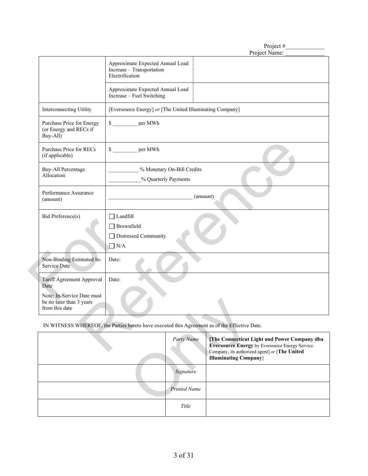|                                                                          | Project#<br>Project Name:                                                                                                                                                |
|--------------------------------------------------------------------------|--------------------------------------------------------------------------------------------------------------------------------------------------------------------------|
|                                                                          | Approximate Expected Annual Load<br>Increase - Transportation<br>Electrification                                                                                         |
|                                                                          | Approximate Expected Annual Load<br>Increase – Fuel Switching                                                                                                            |
| Interconnecting Utility                                                  | [Eversource Energy] or [The United Illuminating Company]                                                                                                                 |
| Purchase Price for Energy<br>(or Energy and RECs if<br>Buy-All)          | \$ per MWh                                                                                                                                                               |
| Purchase Price for RECs<br>(if applicable)                               | \$ _________ per MWh                                                                                                                                                     |
| <b>Buy-All Percentage</b><br>Allocation                                  | % Monetary On-Bill Credits<br>% Quarterly Payments                                                                                                                       |
| Performance Assurance<br>(amount)                                        | (amount)                                                                                                                                                                 |
| Bid Preference(s)                                                        | $\Box$ Landfill<br>$\Box$ Brownfield<br>□ Distressed Community<br>$\Box$ N/A                                                                                             |
| Non-Binding Estimated In-<br>Service Date                                | Date:                                                                                                                                                                    |
| Tariff Agreement Approval<br>Date                                        | Date:                                                                                                                                                                    |
| Note: In-Service Date must<br>be no later than 3 years<br>from this date |                                                                                                                                                                          |
|                                                                          | IN WITNESS WHEREOF, the Parties hereto have executed this Agreement as of the Effective Date.                                                                            |
|                                                                          | Party Name<br>[The Connecticut Light and Power Company dba<br><b>Eversource Energy by Eversource Energy Service</b><br>Company its outhorized goont of <b>The United</b> |

| be no later than 3 years<br>from this date                                                    |                     |                                                                                                                                                                                               |
|-----------------------------------------------------------------------------------------------|---------------------|-----------------------------------------------------------------------------------------------------------------------------------------------------------------------------------------------|
| IN WITNESS WHEREOF, the Parties hereto have executed this Agreement as of the Effective Date. |                     |                                                                                                                                                                                               |
|                                                                                               | Party Name          | <b>The Connecticut Light and Power Company dba</b><br><b>Eversource Energy by Eversource Energy Service</b><br>Company, its authorized agent] or [The United<br><b>Illuminating Company</b> ] |
|                                                                                               | Signature           |                                                                                                                                                                                               |
|                                                                                               | <b>Printed Name</b> |                                                                                                                                                                                               |
|                                                                                               | Title               |                                                                                                                                                                                               |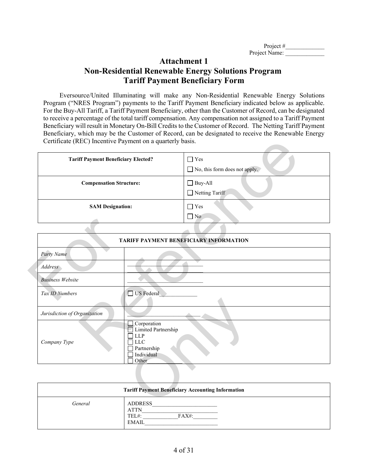| Project $#$   |  |
|---------------|--|
| Project Name: |  |

# **Attachment 1 Non-Residential Renewable Energy Solutions Program Tariff Payment Beneficiary Form**

Eversource/United Illuminating will make any Non-Residential Renewable Energy Solutions Program ("NRES Program") payments to the Tariff Payment Beneficiary indicated below as applicable. For the Buy-All Tariff, a Tariff Payment Beneficiary, other than the Customer of Record, can be designated to receive a percentage of the total tariff compensation. Any compensation not assigned to a Tariff Payment Beneficiary will result in Monetary On-Bill Credits to the Customer of Record. The Netting Tariff Payment Beneficiary, which may be the Customer of Record, can be designated to receive the Renewable Energy Certificate (REC) Incentive Payment on a quarterly basis.

| <b>Tariff Payment Beneficiary Elected?</b> | $\exists$ Yes<br>$\Box$ No, this form does not apply. |
|--------------------------------------------|-------------------------------------------------------|
| <b>Compensation Structure:</b>             | $\Box$ Buy-All<br>Netting Tariff                      |
| <b>SAM Designation:</b>                    | $\exists$ Yes<br>$\Box$ No                            |

| <b>Tariff Payment Beneficiary Elected?</b>                |                                                                                                      | $\Box$ Yes<br>$\Box$ No, this form does not apply.       |
|-----------------------------------------------------------|------------------------------------------------------------------------------------------------------|----------------------------------------------------------|
| <b>Compensation Structure:</b><br><b>SAM Designation:</b> |                                                                                                      | $\Box$ Buy-All<br>$\Box$ Netting Tariff                  |
|                                                           |                                                                                                      | $\Box$ Yes<br>$\Box$ No                                  |
|                                                           |                                                                                                      |                                                          |
|                                                           |                                                                                                      | TARIFF PAYMENT BENEFICIARY INFORMATION                   |
| Party Name                                                |                                                                                                      |                                                          |
| Address                                                   |                                                                                                      |                                                          |
| <b>Business Website</b>                                   |                                                                                                      |                                                          |
| Tax ID Numbers<br>US Federal                              |                                                                                                      |                                                          |
| Jurisdiction of Organization                              |                                                                                                      |                                                          |
| Company Type                                              | Corporation<br>Limited Partnership<br><b>LLP</b><br><b>LLC</b><br>Partnership<br>Individual<br>Other |                                                          |
|                                                           |                                                                                                      |                                                          |
|                                                           |                                                                                                      | <b>Tariff Payment Beneficiary Accounting Information</b> |
| General                                                   | <b>ADDRESS</b>                                                                                       |                                                          |

| <b>Tariff Payment Beneficiary Accounting Information</b> |                                                                    |
|----------------------------------------------------------|--------------------------------------------------------------------|
| General                                                  | <b>ADDRESS</b><br><b>ATTN</b><br>TEL#:<br>$FAX#$ :<br><b>EMAIL</b> |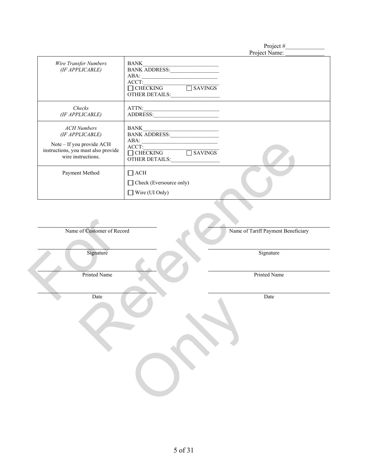Project #

|                                                                                                                                 | Project Name:                                                                                        |  |
|---------------------------------------------------------------------------------------------------------------------------------|------------------------------------------------------------------------------------------------------|--|
| Wire Transfer Numbers<br>(IF APPLICABLE)                                                                                        | <b>BANK</b><br>BANK ADDRESS:<br>ABA:<br>ACCT:<br>$\Box$ CHECKING<br>$\Box$ SAVINGS<br>OTHER DETAILS: |  |
| Checks<br>(IF APPLICABLE)                                                                                                       | ATTN:<br>ADDRESS:                                                                                    |  |
| <b>ACH Numbers</b><br>(IF APPLICABLE)<br>Note - If you provide ACH<br>instructions, you must also provide<br>wire instructions. | BANK<br>BANK ADDRESS:<br>ABA:<br>ACCT:<br>$\Box$ CHECKING<br>SAVINGS<br>OTHER DETAILS:               |  |
| Payment Method                                                                                                                  | $\Box$ ACH<br>□ Check (Eversource only)<br>$\Box$ Wire (UI Only)                                     |  |
| Name of Customer of Record<br>Name of Tariff Payment Beneficiary                                                                |                                                                                                      |  |
|                                                                                                                                 |                                                                                                      |  |
| Signature                                                                                                                       | Signature                                                                                            |  |
| Printed Name                                                                                                                    | Printed Name                                                                                         |  |
| Date                                                                                                                            | Date                                                                                                 |  |
|                                                                                                                                 |                                                                                                      |  |

Name of Customer of Record<br>Signature<br>Printed Name<br>Date

Only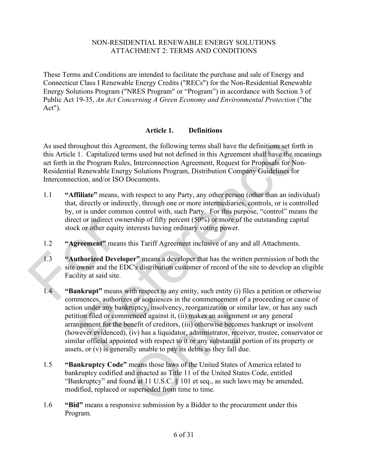These Terms and Conditions are intended to facilitate the purchase and sale of Energy and Connecticut Class I Renewable Energy Credits ("RECs") for the Non-Residential Renewable Energy Solutions Program ("NRES Program" or "Program") in accordance with Section 3 of Public Act 19-35, *An Act Concerning A Green Economy and Environmental Protection* ("the Act").

# **Article 1. Definitions**

As used throughout this Agreement, the following terms shall have the definitions set forth in this [Article 1.](#page-7-0) Capitalized terms used but not defined in this Agreement shall have the meanings set forth in the Program Rules, Interconnection Agreement, Request for Proposals for Non-Residential Renewable Energy Solutions Program, Distribution Company Guidelines for Interconnection, and/or ISO Documents.

- 1.1 **"Affiliate"** means, with respect to any Party, any other person (other than an individual) that, directly or indirectly, through one or more intermediaries, controls, or is controlled by, or is under common control with, such Party. For this purpose, "control" means the direct or indirect ownership of fifty percent (50%) or more of the outstanding capital stock or other equity interests having ordinary voting power.
- 1.2 **"Agreement"** means this Tariff Agreement inclusive of any and all Attachments.
- 1.3 **"Authorized Developer"** means a developer that has the written permission of both the site owner and the EDC's distribution customer of record of the site to develop an eligible Facility at said site. direct or indirect owners<br>stock or other equity inte<br>1.2 <br>**Example 1.3**<br>**Example 1.3**<br>**Example 1.4**<br>**Example 1.4**<br>**Example 1.4**<br>**Example 1.4**<br>**Example 1.4**<br>**Example 1.4**<br>**Example 1.4**<br>**Example 1.4**<br>**Example 1.4**<br>**Example 1**
- <span id="page-7-0"></span>1.4 **"Bankrupt"** means with respect to any entity, such entity (i) files a petition or otherwise commences, authorizes or acquiesces in the commencement of a proceeding or cause of action under any bankruptcy, insolvency, reorganization or similar law, or has any such petition filed or commenced against it, (ii) makes an assignment or any general arrangement for the benefit of creditors, (iii) otherwise becomes bankrupt or insolvent (however evidenced), (iv) has a liquidator, administrator, receiver, trustee, conservator or similar official appointed with respect to it or any substantial portion of its property or assets, or (v) is generally unable to pay its debts as they fall due. oughout this Agreement, the following terms shall have the definitions set forth in<br>1. Capitalized terms used but not defined in this Agreement shall have the meaning<br>he Program Rules, Interconnection Agreement, Request fo ess or acquiesces in the commencement of a<br>cruptcy, insolvency, reorganization or simila-<br>nenced against it, (ii) makes an assignment<br>enefit of creditors, (iii) otherwise becomes |<br>(iv) has a liquidator, administrator, rec
	- 1.5 **"Bankruptcy Code"** means those laws of the United States of America related to bankruptcy codified and enacted as Title 11 of the United States Code, entitled "Bankruptcy" and found at 11 U.S.C. § 101 et seq., as such laws may be amended, modified, replaced or superseded from time to time.
	- 1.6 **"Bid"** means a responsive submission by a Bidder to the procurement under this Program.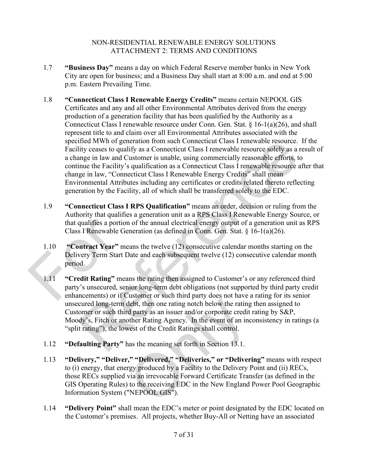- 1.7 **"Business Day"** means a day on which Federal Reserve member banks in New York City are open for business; and a Business Day shall start at 8:00 a.m. and end at 5:00 p.m. Eastern Prevailing Time.
- 1.8 **"Connecticut Class I Renewable Energy Credits"** means certain NEPOOL GIS Certificates and any and all other Environmental Attributes derived from the energy production of a generation facility that has been qualified by the Authority as a Connecticut Class I renewable resource under Conn. Gen. Stat. § 16-1(a)(26), and shall represent title to and claim over all Environmental Attributes associated with the specified MWh of generation from such Connecticut Class I renewable resource. If the Facility ceases to qualify as a Connecticut Class I renewable resource solely as a result of a change in law and Customer is unable, using commercially reasonable efforts, to continue the Facility's qualification as a Connecticut Class I renewable resource after that change in law, "Connecticut Class I Renewable Energy Credits" shall mean Environmental Attributes including any certificates or credits related thereto reflecting generation by the Facility, all of which shall be transferred solely to the EDC.
- 1.9 **"Connecticut Class I RPS Qualification"** means an order, decision or ruling from the Authority that qualifies a generation unit as a RPS Class I Renewable Energy Source, or that qualifies a portion of the annual electrical energy output of a generation unit as RPS Class I Renewable Generation (as defined in Conn. Gen. Stat. § 16-1(a)(26).
- 1.10 **"Contract Year"** means the twelve (12) consecutive calendar months starting on the Delivery Term Start Date and each subsequent twelve (12) consecutive calendar month period.
- 1.11 **"Credit Rating"** means the rating then assigned to Customer's or any referenced third party's unsecured, senior long-term debt obligations (not supported by third party credit enhancements) or if Customer or such third party does not have a rating for its senior unsecured long-term debt, then one rating notch below the rating then assigned to Customer or such third party as an issuer and/or corporate credit rating by S&P, Moody's, Fitch or another Rating Agency. In the event of an inconsistency in ratings (a "split rating"), the lowest of the Credit Ratings shall control. that qualifies a portion o<br>Class I Renewable Gene<br>1.10 <br> **Contract Year**" mean<br>Delivery Term Start Dat<br>period.<br>
1.11 <br> **Credit Rating**" means<br>party's unsecured, senio<br>
enhancements) or if Cus fried MWh of generation from such Connecticut Class I renewable resource. If the dity ceases to qualify as a Connecticut Class I renewable resource. If the inge in law and Customer is unable, using commercially reasonable
	- 1.12 **"Defaulting Party"** has the meaning set forth in Section 13.1.
	- 1.13 **"Delivery," "Deliver," "Delivered," "Deliveries," or "Delivering"** means with respect to (i) energy, that energy produced by a Facility to the Delivery Point and (ii) RECs, those RECs supplied via an irrevocable Forward Certificate Transfer (as defined in the GIS Operating Rules) to the receiving EDC in the New England Power Pool Geographic Information System ("NEPOOL GIS"). debt, then one rating notch below the rating<br>d party as an issuer and/or corporate credit<br>other Rating Agency. In the event of an inc<br>west of the Credit Ratings shall control.<br>has the meaning set forth in Section 13.1.<br>"<br>"
	- 1.14 **"Delivery Point"** shall mean the EDC's meter or point designated by the EDC located on the Customer's premises. All projects, whether Buy-All or Netting have an associated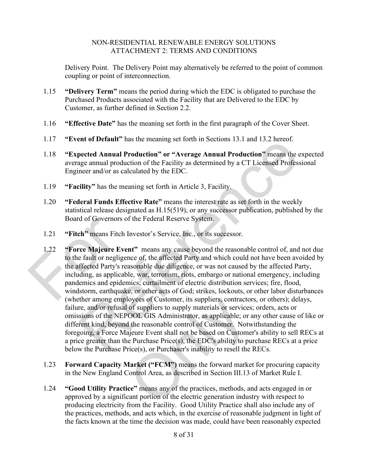Delivery Point. The Delivery Point may alternatively be referred to the point of common coupling or point of interconnection.

- 1.15 **"Delivery Term"** means the period during which the EDC is obligated to purchase the Purchased Products associated with the Facility that are Delivered to the EDC by Customer, as further defined in Section [2.2.](#page-14-0)
- 1.16 **"Effective Date"** has the meaning set forth in the first paragraph of the Cover Sheet.
- 1.17 **"Event of Default"** has the meaning set forth in Sections 13.1 and 13.2 hereof.
- 1.18 **"Expected Annual Production" or "Average Annual Production"** means the expected average annual production of the Facility as determined by a CT Licensed Professional Engineer and/or as calculated by the EDC.
- 1.19 **"Facility"** has the meaning set forth in Article 3, Facility.
- 1.20 **"Federal Funds Effective Rate"** means the interest rate as set forth in the weekly statistical release designated as H.15(519), or any successor publication, published by the Board of Governors of the Federal Reserve System.
- 1.21 **"Fitch"** means Fitch Investor's Service, Inc., or its successor.
- 1.22 **"Force Majeure Event"** means any cause beyond the reasonable control of, and not due to the fault or negligence of, the affected Party and which could not have been avoided by the affected Party's reasonable due diligence, or was not caused by the affected Party, including, as applicable, war, terrorism, riots, embargo or national emergency, including pandemics and epidemics; curtailment of electric distribution services; fire, flood, windstorm, earthquake, or other acts of God; strikes, lockouts, or other labor disturbances (whether among employees of Customer, its suppliers, contractors, or others); delays, failure, and/or refusal of suppliers to supply materials or services; orders, acts or omissions of the NEPOOL GIS Administrator, as applicable; or any other cause of like or different kind, beyond the reasonable control of Customer. Notwithstanding the foregoing, a Force Majeure Event shall not be based on Customer's ability to sell RECs at a price greater than the Purchase Price(s), the EDC's ability to purchase RECs at a price below the Purchase Price(s), or Purchaser's inability to resell the RECs. Board of Governors of the<br>1.21 <br>
Fitch" means Fitch Inv<br>
1.22 <br>
Force Majeure Event<br>
to the fault or negligence<br>
the affected Party's reason<br>
including, as applicable,<br>
pandemics and epidemic<br>
windstorm, earthquake,<br>
(whet Fire of Detaint has the meaning set forth in sections 15.1 and 15.2 nereof.<br>
Detected Annual Production <sup>2</sup> or "Average Annual Production" means the expect<br>
neer and/or as calculated by the EDC.<br>
Fility " has the meaning s loyees of Customer, its suppliers, contractor<br>of suppliers to supply materials or services<br>OOL GIS Administrator, as applicable; or a<br>if the reasonable control of Customer. Notway<br>ieure Event shall not be based on Custome<br>
	- 1.23 **Forward Capacity Market ("FCM")** means the forward market for procuring capacity in the New England Control Area, as described in Section III.13 of Market Rule I.
	- 1.24 **"Good Utility Practice"** means any of the practices, methods, and acts engaged in or approved by a significant portion of the electric generation industry with respect to producing electricity from the Facility. Good Utility Practice shall also include any of the practices, methods, and acts which, in the exercise of reasonable judgment in light of the facts known at the time the decision was made, could have been reasonably expected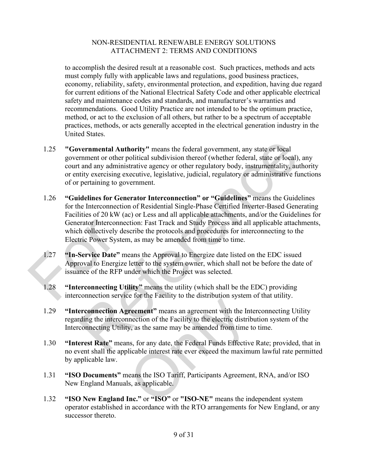to accomplish the desired result at a reasonable cost. Such practices, methods and acts must comply fully with applicable laws and regulations, good business practices, economy, reliability, safety, environmental protection, and expedition, having due regard for current editions of the National Electrical Safety Code and other applicable electrical safety and maintenance codes and standards, and manufacturer's warranties and recommendations. Good Utility Practice are not intended to be the optimum practice, method, or act to the exclusion of all others, but rather to be a spectrum of acceptable practices, methods, or acts generally accepted in the electrical generation industry in the United States.

- 1.25 **"Governmental Authority"** means the federal government, any state or local government or other political subdivision thereof (whether federal, state or local), any court and any administrative agency or other regulatory body, instrumentality, authority or entity exercising executive, legislative, judicial, regulatory or administrative functions of or pertaining to government.
- 1.26 **"Guidelines for Generator Interconnection" or "Guidelines"** means the Guidelines for the Interconnection of Residential Single-Phase Certified Inverter-Based Generating Facilities of 20 kW (ac) or Less and all applicable attachments, and/or the Guidelines for Generator Interconnection: Fast Track and Study Process and all applicable attachments, which collectively describe the protocols and procedures for interconnecting to the Electric Power System, as may be amended from time to time. Generator Interconnection<br>
which collectively descreed<br>
Electric Power System,<br>
1.27 <br> **Th-Service Date**<br> **Constant Approval to Energize let<br>
issuance of the RFP und<br>
1.28 <br>
<b>Constant Approval to Energize let**<br>
interconnec **Example 12** Authority" means the federal government, any state or local<br>transment or other political subdivision thereof (whether federal, state or local), any<br>transment or other political subdivision thereof (whether fed
	- 1.27 **"In-Service Date"** means the Approval to Energize date listed on the EDC issued Approval to Energize letter to the system owner, which shall not be before the date of issuance of the RFP under which the Project was selected.
	- 1.28 **"Interconnecting Utility"** means the utility (which shall be the EDC) providing interconnection service for the Facility to the distribution system of that utility.
	- 1.29 **"Interconnection Agreement"** means an agreement with the Interconnecting Utility regarding the interconnection of the Facility to the electric distribution system of the Interconnecting Utility, as the same may be amended from time to time.
	- 1.30 **"Interest Rate"** means, for any date, the Federal Funds Effective Rate; provided, that in no event shall the applicable interest rate ever exceed the maximum lawful rate permitted by applicable law. recement" means an agreement with the International of the Facility to the electric district<br>y, as the same may be amended from time t<br>ns, for any date, the Federal Funds Effective<br>licable interest rate ever exceed the max
	- 1.31 **"ISO Documents"** means the ISO Tariff, Participants Agreement, RNA, and/or ISO New England Manuals, as applicable.
	- 1.32 **"ISO New England Inc."** or **"ISO"** or **"ISO-NE"** means the independent system operator established in accordance with the RTO arrangements for New England, or any successor thereto.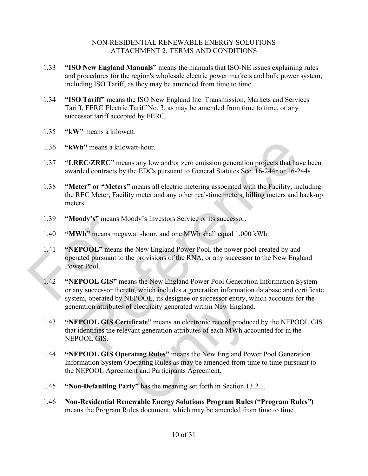- 1.33 **"ISO New England Manuals"** means the manuals that ISO-NE issues explaining rules and procedures for the region's wholesale electric power markets and bulk power system, including ISO Tariff, as they may be amended from time to time.
- 1.34 **"ISO Tariff"** means the ISO New England Inc. Transmission, Markets and Services Tariff, FERC Electric Tariff No. 3, as may be amended from time to time, or any successor tariff accepted by FERC.
- 1.35 **"kW"** means a kilowatt.
- 1.36 **"kWh"** means a kilowatt-hour.
- 1.37 **"LREC/ZREC"** means any low and/or zero emission generation projects that have been awarded contracts by the EDCs pursuant to General Statutes Sec. 16-244r or 16-244s.
- 1.38 **"Meter" or "Meters"** means all electric metering associated with the Facility, including the REC Meter, Facility meter and any other real-time meters, billing meters and back-up meters.
- 1.39 **"Moody's"** means Moody's Investors Service or its successor.
- 1.40 **"MWh"** means megawatt-hour, and one MWh shall equal 1,000 kWh.
- 1.41 **"NEPOOL"** means the New England Power Pool, the power pool created by and operated pursuant to the provisions of the RNA, or any successor to the New England Power Pool. 1.39 "Moody's" means Moo<br>1.40 "MWh" means megawa<br>1.41 "NEPOOL" means the<br>operated pursuant to the<br>Power Pool.<br>1.42 "NEPOOL GIS" means<br>or any successor thereto<br>system, operated by NE
- 1.42 **"NEPOOL GIS"** means the New England Power Pool Generation Information System or any successor thereto, which includes a generation information database and certificate system, operated by NEPOOL, its designee or successor entity, which accounts for the generation attributes of electricity generated within New England. The means a kilowatt-hour.<br>
EC/ZREC" means any low and/or zero emission generation projects that have beedd contracts by the EDCs pursuant to General Statutes Sec. 16-244r or 16-244s.<br>
ter" or "Meters" means all electric m
	- 1.43 **"NEPOOL GIS Certificate"** means an electronic record produced by the NEPOOL GIS that identifies the relevant generation attributes of each MWh accounted for in the NEPOOL GIS. NEPOOL, its designee or successor entity, we<br>of electricity generated within New England<br>tificate" means an electronic record produc<br>vant generation attributes of each MWh acc<br>**rating Rules**" means the New England Pov<br>pera
	- 1.44 **"NEPOOL GIS Operating Rules"** means the New England Power Pool Generation Information System Operating Rules as may be amended from time to time pursuant to the NEPOOL Agreement and Participants Agreement.
	- 1.45 **"Non-Defaulting Party"** has the meaning set forth in Section [13.2.1.](#page-27-0)
	- 1.46 **Non-Residential Renewable Energy Solutions Program Rules ("Program Rules")** means the Program Rules document, which may be amended from time to time.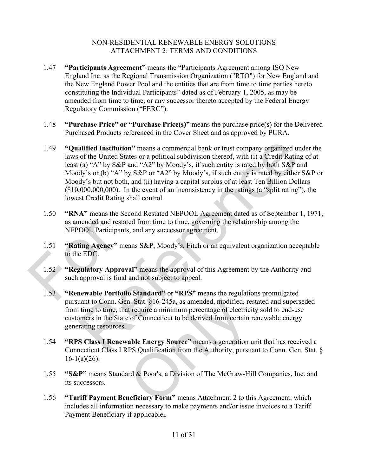- 1.47 **"Participants Agreement"** means the "Participants Agreement among ISO New England Inc. as the Regional Transmission Organization ("RTO") for New England and the New England Power Pool and the entities that are from time to time parties hereto constituting the Individual Participants" dated as of February 1, 2005, as may be amended from time to time, or any successor thereto accepted by the Federal Energy Regulatory Commission ("FERC").
- 1.48 **"Purchase Price" or "Purchase Price(s)"** means the purchase price(s) for the Delivered Purchased Products referenced in the Cover Sheet and as approved by PURA.
- 1.49 **"Qualified Institution"** means a commercial bank or trust company organized under the laws of the United States or a political subdivision thereof, with (i) a Credit Rating of at least (a) "A" by S&P and "A2" by Moody's, if such entity is rated by both S&P and Moody's or (b) "A" by S&P or "A2" by Moody's, if such entity is rated by either S&P or Moody's but not both, and (ii) having a capital surplus of at least Ten Billion Dollars (\$10,000,000,000). In the event of an inconsistency in the ratings (a "split rating"), the lowest Credit Rating shall control. **alified Institution**" means a commercial bank or trust company organized under the of the United States or a political subdivision thereof, with (i) a Credit Rating of at (a) "A" by S&P and "A2" by Moody's, if such entit
- 1.50 **"RNA"** means the Second Restated NEPOOL Agreement dated as of September 1, 1971, as amended and restated from time to time, governing the relationship among the NEPOOL Participants, and any successor agreement.
- 1.51 **"Rating Agency"** means S&P, Moody's, Fitch or an equivalent organization acceptable to the EDC.
- 1.52 **"Regulatory Approval"** means the approval of this Agreement by the Authority and such approval is final and not subject to appeal. as amended and restated<br>
NEPOOL Participants, a<br>
1.51 **"Rating Agency"** mean<br>
to the EDC.<br>
1.52 **"Regulatory Approval"**<br>
such approval is final an<br>
1.53 **"Renewable Portfolio S** 
	- 1.53 **"Renewable Portfolio Standard"** or **"RPS"** means the regulations promulgated pursuant to Conn. Gen. Stat. §16-245a, as amended, modified, restated and superseded from time to time, that require a minimum percentage of electricity sold to end-use customers in the State of Connecticut to be derived from certain renewable energy generating resources. n. Stat. §16-245a, as amended, modified, re<br>t require a minimum percentage of electricies<br>of Connecticut to be derived from certain<br>able Energy Source" means a generation u<br>PS Qualification from the Authority, pursual<br>or a
	- 1.54 **"RPS Class I Renewable Energy Source"** means a generation unit that has received a Connecticut Class I RPS Qualification from the Authority, pursuant to Conn. Gen. Stat. §  $16-1(a)(26)$ .
	- 1.55 **"S&P"** means Standard & Poor's, a Division of The McGraw-Hill Companies, Inc. and its successors.
	- 1.56 **"Tariff Payment Beneficiary Form"** means Attachment 2 to this Agreement, which includes all information necessary to make payments and/or issue invoices to a Tariff Payment Beneficiary if applicable,.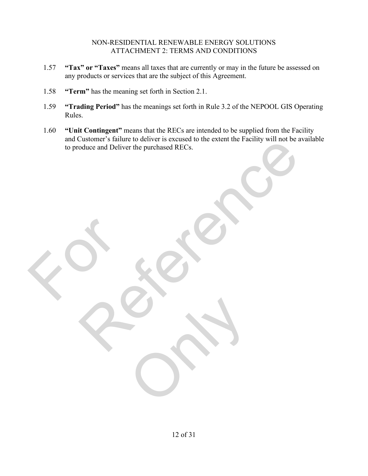- 1.57 **"Tax" or "Taxes"** means all taxes that are currently or may in the future be assessed on any products or services that are the subject of this Agreement.
- 1.58 **"Term"** has the meaning set forth in Section [2.1.](#page-14-1)

For

- 1.59 **"Trading Period"** has the meanings set forth in Rule 3.2 of the NEPOOL GIS Operating Rules.
- 1.60 **"Unit Contingent"** means that the RECs are intended to be supplied from the Facility and Customer's failure to deliver is excused to the extent the Facility will not be available to produce and Deliver the purchased RECs. Contact and Deliver the purchased RECs.

Only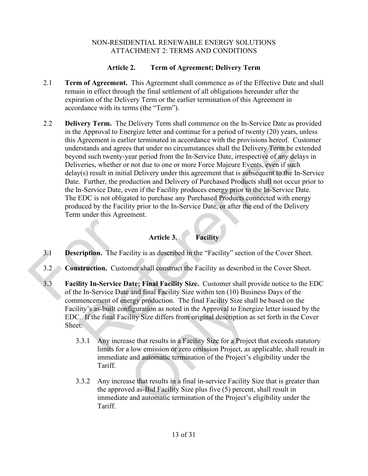# **Article 2. Term of Agreement; Delivery Term**

- <span id="page-14-1"></span>2.1 **Term of Agreement.** This Agreement shall commence as of the Effective Date and shall remain in effect through the final settlement of all obligations hereunder after the expiration of the Delivery Term or the earlier termination of this Agreement in accordance with its terms (the "Term").
- <span id="page-14-0"></span>2.2 **Delivery Term.** The Delivery Term shall commence on the In-Service Date as provided in the Approval to Energize letter and continue for a period of twenty (20) years, unless this Agreement is earlier terminated in accordance with the provisions hereof. Customer understands and agrees that under no circumstances shall the Delivery Term be extended beyond such twenty-year period from the In-Service Date, irrespective of any delays in Deliveries, whether or not due to one or more Force Majeure Events, even if such delay(s) result in initial Delivery under this agreement that is subsequent to the In-Service Date. Further, the production and Delivery of Purchased Products shall not occur prior to the In-Service Date, even if the Facility produces energy prior to the In-Service Date. The EDC is not obligated to purchase any Purchased Products connected with energy produced by the Facility prior to the In-Service Date, or after the end of the Delivery Term under this Agreement. Agreement is earlier terminated in accordance with the provisions hereot. Custome<br>
restands and agrees that under no circumstances shall the Delivery Term be extended<br>
and such twenty-year period from the In-Service Date,

# **Article 3. Facility**

- 3.1 **Description.** The Facility is as described in the "Facility" section of the Cover Sheet.
- 3.2 **Construction.** Customer shall construct the Facility as described in the Cover Sheet.
- 3.3 **Facility In-Service Date; Final Facility Size.** Customer shall provide notice to the EDC of the In-Service Date and final Facility Size within ten (10) Business Days of the commencement of energy production. The final Facility Size shall be based on the Facility's as-built configuration as noted in the Approval to Energize letter issued by the EDC. If the final Facility Size differs from original description as set forth in the Cover Sheet: 3.1 **Description.** The Facili<br>3.2 **Construction.** Custome<br>3.3 **Facility In-Service Dat**<br>of the In-Service Date as
	- 3.3.1 Any increase that results in a Facility Size for a Project that exceeds statutory limits for a low emission or zero emission Project, as applicable, shall result in immediate and automatic termination of the Project's eligibility under the Tariff. ergy production. The final Facility Size shaft<br>figuration as noted in the Approval to Energility Size differs from original description a<br>see that results in a Facility Size for a Project<br>a low emission or zero emission Pr
	- 3.3.2 Any increase that results in a final in-service Facility Size that is greater than the approved as-Bid Facility Size plus five (5) percent, shall result in immediate and automatic termination of the Project's eligibility under the Tariff.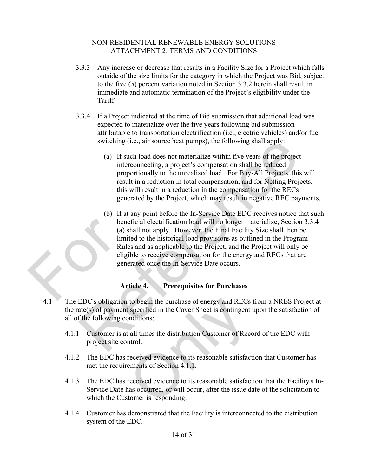- 3.3.3 Any increase or decrease that results in a Facility Size for a Project which falls outside of the size limits for the category in which the Project was Bid, subject to the five (5) percent variation noted in Section 3.3.2 herein shall result in immediate and automatic termination of the Project's eligibility under the Tariff.
- 3.3.4 If a Project indicated at the time of Bid submission that additional load was expected to materialize over the five years following bid submission attributable to transportation electrification (i.e., electric vehicles) and/or fuel switching (i.e., air source heat pumps), the following shall apply:
	- (a) If such load does not materialize within five years of the project interconnecting, a project's compensation shall be reduced proportionally to the unrealized load. For Buy-All Projects, this will result in a reduction in total compensation, and for Netting Projects, this will result in a reduction in the compensation for the RECs generated by the Project, which may result in negative REC payments.
- (b) If at any point before the In-Service Date EDC receives notice that such beneficial electrification load will no longer materialize, Section 3.3.4 (a) shall not apply. However, the Final Facility Size shall then be limited to the historical load provisions as outlined in the Program Rules and as applicable to the Project, and the Project will only be eligible to receive compensation for the energy and RECs that are generated once the In-Service Date occurs. benefi<br>
(a) sha<br>
limited<br>
Rules<br>
eligibl<br>
genera<br>
Artic switching (i.e., air source heat pumps), the following shall apply:<br>
(a) If such load does not materialize within five years of the project<br>
interconnecting, a project's compensation shall be reduced<br>
proportionally to the

# **Article 4. Prerequisites for Purchases**

- 4.1 The EDC's obligation to begin the purchase of energy and RECs from a NRES Project at the rate(s) of payment specified in the Cover Sheet is contingent upon the satisfaction of all of the following conditions: to begin the purchase of energy and RECs<br>t specified in the Cover Sheet is contingent<br>positions:<br>all times the distribution Customer of Reco<br>ntrol.<br>received evidence to its reasonable satisfact<br>ements of Section 4.1.1.<br>rec
	- 4.1.1 Customer is at all times the distribution Customer of Record of the EDC with project site control.
	- 4.1.2 The EDC has received evidence to its reasonable satisfaction that Customer has met the requirements of Section 4.1.1.
	- 4.1.3 The EDC has received evidence to its reasonable satisfaction that the Facility's In-Service Date has occurred, or will occur, after the issue date of the solicitation to which the Customer is responding.
	- 4.1.4 Customer has demonstrated that the Facility is interconnected to the distribution system of the EDC.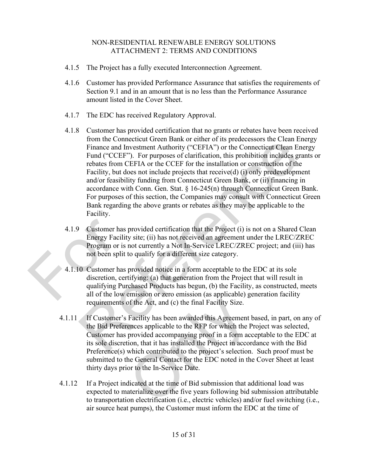- 4.1.5 The Project has a fully executed Interconnection Agreement.
- 4.1.6 Customer has provided Performance Assurance that satisfies the requirements of Section [9.1](#page-22-0) and in an amount that is no less than the Performance Assurance amount listed in the Cover Sheet.
- 4.1.7 The EDC has received Regulatory Approval.
- 4.1.8 Customer has provided certification that no grants or rebates have been received from the Connecticut Green Bank or either of its predecessors the Clean Energy Finance and Investment Authority ("CEFIA") or the Connecticut Clean Energy Fund ("CCEF"). For purposes of clarification, this prohibition includes grants or rebates from CEFIA or the CCEF for the installation or construction of the Facility, but does not include projects that receive(d) (i) only predevelopment and/or feasibility funding from Connecticut Green Bank, or (ii) financing in accordance with Conn. Gen. Stat.  $\S 16-245(n)$  through Connecticut Green Bank. For purposes of this section, the Companies may consult with Connecticut Green Bank regarding the above grants or rebates as they may be applicable to the Facility. Frame Connection the Conservation of the Singleton Singleton (Fig. 2011)<br>Frame and Investment Authority ("CEFIA") or the Connecticut Clean Energy<br>Fund ("CCEF"). For purposes of clarification, this prohibition includes gran
- 4.1.9 Customer has provided certification that the Project (i) is not on a Shared Clean Energy Facility site; (ii) has not received an agreement under the LREC/ZREC Program or is not currently a Not In-Service LREC/ZREC project; and (iii) has not been split to qualify for a different size category.
- 4.1.10 Customer has provided notice in a form acceptable to the EDC at its sole discretion, certifying: (a) that generation from the Project that will result in qualifying Purchased Products has begun, (b) the Facility, as constructed, meets all of the low emission or zero emission (as applicable) generation facility requirements of the Act, and (c) the final Facility Size. 4.1.9 Customer has pro<br>Energy Facility s<br>Program or is no<br>not been split to<br>4.1.10 Customer has pro<br>discretion, certify<br>qualifying Purch<br>all of the low em
	- 4.1.11 If Customer's Facility has been awarded this Agreement based, in part, on any of the Bid Preferences applicable to the RFP for which the Project was selected, Customer has provided accompanying proof in a form acceptable to the EDC at its sole discretion, that it has installed the Project in accordance with the Bid Preference(s) which contributed to the project's selection. Such proof must be submitted to the General Contact for the EDC noted in the Cover Sheet at least thirty days prior to the In-Service Date. of the Act, and (c) the final Facility Size.<br>Facility has been awarded this Agreement lences applicable to the RFP for which the P<br>provided accompanying proof in a form acc<br>ion, that it has installed the Project in accor<br>w
	- 4.1.12 If a Project indicated at the time of Bid submission that additional load was expected to materialize over the five years following bid submission attributable to transportation electrification (i.e., electric vehicles) and/or fuel switching (i.e., air source heat pumps), the Customer must inform the EDC at the time of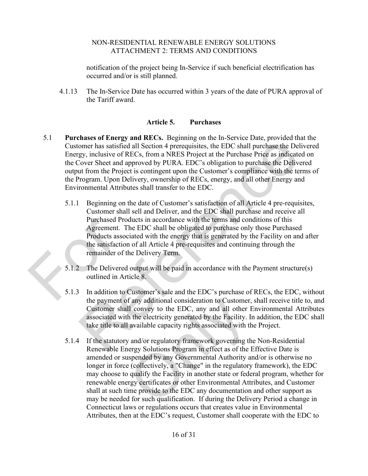notification of the project being In-Service if such beneficial electrification has occurred and/or is still planned.

4.1.13 The In-Service Date has occurred within 3 years of the date of PURA approval of the Tariff award.

# **Article 5. Purchases**

- 5.1 **Purchases of Energy and RECs.** Beginning on the In-Service Date, provided that the Customer has satisfied all Section 4 prerequisites, the EDC shall purchase the Delivered Energy, inclusive of RECs, from a NRES Project at the Purchase Price as indicated on the Cover Sheet and approved by PURA. EDC's obligation to purchase the Delivered output from the Project is contingent upon the Customer's compliance with the terms of the Program. Upon Delivery, ownership of RECs, energy, and all other Energy and Environmental Attributes shall transfer to the EDC.
- 5.1.1 Beginning on the date of Customer's satisfaction of all Article 4 pre-requisites, Customer shall sell and Deliver, and the EDC shall purchase and receive all Purchased Products in accordance with the terms and conditions of this Agreement. The EDC shall be obligated to purchase only those Purchased Products associated with the energy that is generated by the Facility on and after the satisfaction of all Article 4 pre-requisites and continuing through the remainder of the Delivery Term. Purchased Produ<br>
Agreement. The<br>
Products associa<br>
the satisfaction of<br>
remainder of the<br>
5.1.2 The Delivered of<br>
outlined in Artic<br>
5.1.3 In addition to Cu<br>
the payment of a moment and Microssical Scheming on the method content, provided that the<br>moment has satisfied all Section 4 prerequisites, the EDC shall purchase the Delivered<br>gy, inclusive of RECs, from a NRES Project at the Purchase Pri
	- 5.1.2 The Delivered output will be paid in accordance with the Payment structure(s) outlined in Article 8.
	- 5.1.3 In addition to Customer's sale and the EDC's purchase of RECs, the EDC, without the payment of any additional consideration to Customer, shall receive title to, and Customer shall convey to the EDC, any and all other Environmental Attributes associated with the electricity generated by the Facility. In addition, the EDC shall take title to all available capacity rights associated with the Project.
	- 5.1.4 If the statutory and/or regulatory framework governing the Non-Residential Renewable Energy Solutions Program in effect as of the Effective Date is amended or suspended by any Governmental Authority and/or is otherwise no longer in force (collectively, a "Change" in the regulatory framework), the EDC may choose to qualify the Facility in another state or federal program, whether for renewable energy certificates or other Environmental Attributes, and Customer shall at such time provide to the EDC any documentation and other support as may be needed for such qualification. If during the Delivery Period a change in Connecticut laws or regulations occurs that creates value in Environmental Attributes, then at the EDC's request, Customer shall cooperate with the EDC to f any additional consideration to Customer,<br>Il convey to the EDC, any and all other I<br>h the electricity generated by the Facility. In<br>available capacity rights associated with th<br>v and/or regulatory framework governing th<br>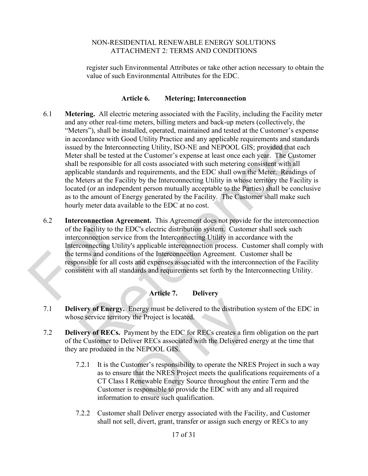register such Environmental Attributes or take other action necessary to obtain the value of such Environmental Attributes for the EDC.

# **Article 6. Metering; Interconnection**

- 6.1 **Metering.** All electric metering associated with the Facility, including the Facility meter and any other real-time meters, billing meters and back-up meters (collectively, the "Meters"), shall be installed, operated, maintained and tested at the Customer's expense in accordance with Good Utility Practice and any applicable requirements and standards issued by the Interconnecting Utility, ISO-NE and NEPOOL GIS; provided that each Meter shall be tested at the Customer's expense at least once each year. The Customer shall be responsible for all costs associated with such metering consistent with all applicable standards and requirements, and the EDC shall own the Meter. Readings of the Meters at the Facility by the Interconnecting Utility in whose territory the Facility is located (or an independent person mutually acceptable to the Parties) shall be conclusive as to the amount of Energy generated by the Facility. The Customer shall make such hourly meter data available to the EDC at no cost. conducte with Good Cutiny Pratecte and any approable requirements and standards and standards of by the Interconnecting Uility, ISO-NE and NEPOOL GIS; provided that each or stand be tested at the Customer's expense at leas
- 6.2 **Interconnection Agreement.** This Agreement does not provide for the interconnection of the Facility to the EDC's electric distribution system. Customer shall seek such interconnection service from the Interconnecting Utility in accordance with the Interconnecting Utility's applicable interconnection process. Customer shall comply with the terms and conditions of the Interconnection Agreement. Customer shall be responsible for all costs and expenses associated with the interconnection of the Facility consistent with all standards and requirements set forth by the Interconnecting Utility. 6.2 Interconnection Agree<br>
of the Facility to the ED<br>
interconnection service is<br>
Interconnecting Utility's<br>
the terms and conditions<br>
responsible for all costs<br>
consistent with all stand<br>
dividends

# **Article 7. Delivery**

- 7.1 **Delivery of Energy.** Energy must be delivered to the distribution system of the EDC in whose service territory the Project is located.
- 7.2 **Delivery of RECs.** Payment by the EDC for RECs creates a firm obligation on the part of the Customer to Deliver RECs associated with the Delivered energy at the time that they are produced in the NEPOOL GIS.
- 7.2.1 It is the Customer's responsibility to operate the NRES Project in such a way as to ensure that the NRES Project meets the qualifications requirements of a CT Class I Renewable Energy Source throughout the entire Term and the Customer is responsible to provide the EDC with any and all required information to ensure such qualification. Only
	- 7.2.2 Customer shall Deliver energy associated with the Facility, and Customer shall not sell, divert, grant, transfer or assign such energy or RECs to any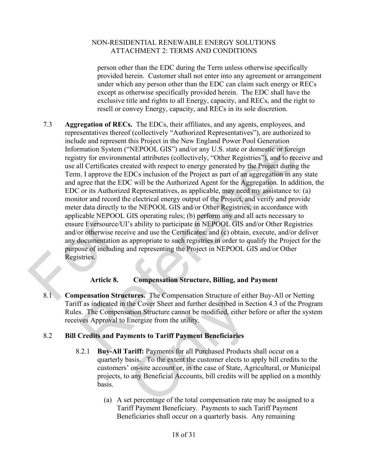person other than the EDC during the Term unless otherwise specifically provided herein. Customer shall not enter into any agreement or arrangement under which any person other than the EDC can claim such energy or RECs except as otherwise specifically provided herein. The EDC shall have the exclusive title and rights to all Energy, capacity, and RECs, and the right to resell or convey Energy, capacity, and RECs in its sole discretion.

7.3 **Aggregation of RECs.** The EDCs, their affiliates, and any agents, employees, and representatives thereof (collectively "Authorized Representatives"), are authorized to include and represent this Project in the New England Power Pool Generation Information System ("NEPOOL GIS") and/or any U.S. state or domestic or foreign registry for environmental attributes (collectively, "Other Registries"), and to receive and use all Certificates created with respect to energy generated by the Project during the Term. I approve the EDCs inclusion of the Project as part of an aggregation in any state and agree that the EDC will be the Authorized Agent for the Aggregation. In addition, the EDC or its Authorized Representatives, as applicable, may need my assistance to: (a) monitor and record the electrical energy output of the Project, and verify and provide meter data directly to the NEPOOL GIS and/or Other Registries, in accordance with applicable NEPOOL GIS operating rules; (b) perform any and all acts necessary to ensure Eversource/UI's ability to participate in NEPOOL GIS and/or Other Registries and/or otherwise receive and use the Certificates; and (c) obtain, execute, and/or deliver any documentation as appropriate to such registries in order to qualify the Project for the purpose of including and representing the Project in NEPOOL GIS and/or Other Registries. Expression LT COUTS<br>
ensure Eversource/UI's<br>
and/or otherwise receive<br>
any documentation as ap<br>
purpose of including and<br>
Registries.<br>
Article 8.<br>
8.1 Compensation Structu of each represent this Project in the New England Power Pool Generation<br>matrion System ("NEPOOL GIS") and/or any U.S. state or donestic or foreign<br>matrix for environmental attributes (collectively, "Other Registries"), and

# **Article 8. Compensation Structure, Billing, and Payment**

8.1 **Compensation Structures.** The Compensation Structure of either Buy-All or Netting Tariff as indicated in the Cover Sheet and further described in Section 4.3 of the Program Rules. The Compensation Structure cannot be modified, either before or after the system receives Approval to Energize from the utility.

# 8.2 **Bill Credits and Payments to Tariff Payment Beneficiaries**

- 8.2.1 **Buy-All Tariff:** Payments for all Purchased Products shall occur on a quarterly basis. To the extent the customer elects to apply bill credits to the customers' on-site account or, in the case of State, Agricultural, or Municipal projects, to any Beneficial Accounts, bill credits will be applied on a monthly basis. the Cover Sheet and further described in Se<br>ation Structure cannot be modified, either b<br>Energize from the utility.<br>**ments to Tariff Payment Beneficiaries**<br>**ariff:** Payments for all Purchased Products<br>passis. To the extent
	- (a) A set percentage of the total compensation rate may be assigned to a Tariff Payment Beneficiary. Payments to such Tariff Payment Beneficiaries shall occur on a quarterly basis. Any remaining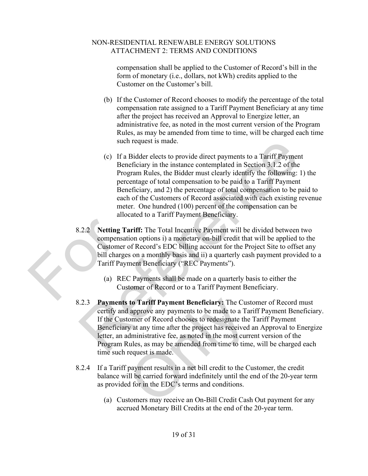compensation shall be applied to the Customer of Record's bill in the form of monetary (i.e., dollars, not kWh) credits applied to the Customer on the Customer's bill.

- (b) If the Customer of Record chooses to modify the percentage of the total compensation rate assigned to a Tariff Payment Beneficiary at any time after the project has received an Approval to Energize letter, an administrative fee, as noted in the most current version of the Program Rules, as may be amended from time to time, will be charged each time such request is made.
- (c) If a Bidder elects to provide direct payments to a Tariff Payment Beneficiary in the instance contemplated in Section 3.1.2 of the Program Rules, the Bidder must clearly identify the following: 1) the percentage of total compensation to be paid to a Tariff Payment Beneficiary, and 2) the percentage of total compensation to be paid to each of the Customers of Record associated with each existing revenue meter. One hundred (100) percent of the compensation can be allocated to a Tariff Payment Beneficiary. such request is made.<br>
(c) If a Bidder elects to provide direct payments to a Tariff Payment<br>
Benchiciary in the instance contemplated in Section 3.1.2 of the<br>
Program Rules, the Bidder must clearly identify the following:
- 8.2.2 **Netting Tariff:** The Total Incentive Payment will be divided between two compensation options i) a monetary on-bill credit that will be applied to the Customer of Record's EDC billing account for the Project Site to offset any bill charges on a monthly basis and ii) a quarterly cash payment provided to a Tariff Payment Beneficiary ("REC Payments"). 8.2.2 Netting Tari<br>
compensation<br>
Customer of<br>
bill charges c<br>
Tariff Payme<br>
(a) REC I<br>
Custon
	- (a) REC Payments shall be made on a quarterly basis to either the Customer of Record or to a Tariff Payment Beneficiary.
	- 8.2.3 **Payments to Tariff Payment Beneficiary:** The Customer of Record must certify and approve any payments to be made to a Tariff Payment Beneficiary. If the Customer of Record chooses to redesignate the Tariff Payment Beneficiary at any time after the project has received an Approval to Energize letter, an administrative fee, as noted in the most current version of the Program Rules, as may be amended from time to time, will be charged each time such request is made. to Tariff Payment Beneficiary: The Cust<br>approve any payments to be made to a Tar<br>omer of Record chooses to redesignate the<br>y at any time after the project has received<br>dministrative fee, as noted in the most curre<br>culles,
	- 8.2.4 If a Tariff payment results in a net bill credit to the Customer, the credit balance will be carried forward indefinitely until the end of the 20-year term as provided for in the EDC's terms and conditions.
		- (a) Customers may receive an On-Bill Credit Cash Out payment for any accrued Monetary Bill Credits at the end of the 20-year term.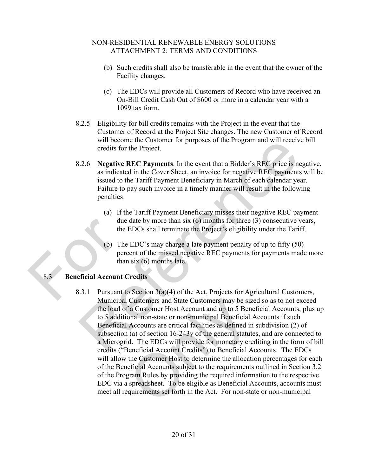- (b) Such credits shall also be transferable in the event that the owner of the Facility changes.
- (c) The EDCs will provide all Customers of Record who have received an On-Bill Credit Cash Out of \$600 or more in a calendar year with a 1099 tax form.
- 8.2.5 Eligibility for bill credits remains with the Project in the event that the Customer of Record at the Project Site changes. The new Customer of Record will become the Customer for purposes of the Program and will receive bill credits for the Project.
- 8.2.6 **Negative REC Payments**. In the event that a Bidder's REC price is negative, as indicated in the Cover Sheet, an invoice for negative REC payments will be issued to the Tariff Payment Beneficiary in March of each calendar year. Failure to pay such invoice in a timely manner will result in the following penalties:
	- (a) If the Tariff Payment Beneficiary misses their negative REC payment due date by more than six (6) months for three (3) consecutive years, the EDCs shall terminate the Project's eligibility under the Tariff.
	- (b) The EDC's may charge a late payment penalty of up to fifty (50) percent of the missed negative REC payments for payments made more than six (6) months late.

# 8.3 **Beneficial Account Credits** due da<br>the EI<br>the EI<br>(b) The E<br>percent<br>than si<br>8.3. Beneficial Account Cre<br>8.3.1 Pursuant to S

8.3.1 Pursuant to Section  $3(a)(4)$  of the Act, Projects for Agricultural Customers, Municipal Customers and State Customers may be sized so as to not exceed the load of a Customer Host Account and up to 5 Beneficial Accounts, plus up to 5 additional non-state or non-municipal Beneficial Accounts if such Beneficial Accounts are critical facilities as defined in subdivision (2) of subsection (a) of section 16-243y of the general statutes, and are connected to a Microgrid. The EDCs will provide for monetary crediting in the form of bill credits ("Beneficial Account Credits") to Beneficial Accounts. The EDCs will allow the Customer Host to determine the allocation percentages for each of the Beneficial Accounts subject to the requirements outlined in Section 3.2 of the Program Rules by providing the required information to the respective EDC via a spreadsheet. To be eligible as Beneficial Accounts, accounts must meet all requirements set forth in the Act. For non-state or non-municipal will become the Customer for purposes of the Program and will receive bill<br>
credits for the Project.<br>
2.6. Negative REC payments. In the event that a Bidder's REC price is negative<br>
as indicated in the Cover Sheet, an inv Customers and State Customers may be size<br>
is a Customer Host Account and up to 5 Ben<br>
onal non-state or non-municipal Beneficial<br>
Accounts are critical facilities as defined ir<br>
(a) of section 16-243y of the general statu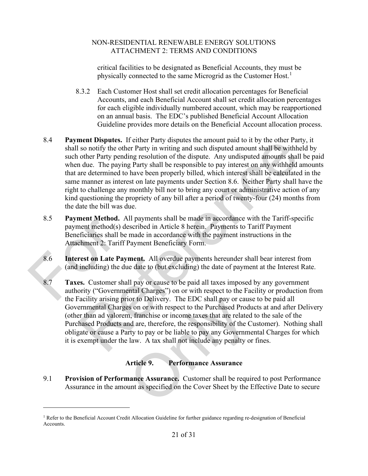critical facilities to be designated as Beneficial Accounts, they must be physically connected to the same Microgrid as the Customer Host.<sup>[1](#page-22-2)</sup>

- 8.3.2 Each Customer Host shall set credit allocation percentages for Beneficial Accounts, and each Beneficial Account shall set credit allocation percentages for each eligible individually numbered account, which may be reapportioned on an annual basis. The EDC's published Beneficial Account Allocation Guideline provides more details on the Beneficial Account allocation process.
- 8.4 **Payment Disputes.** If either Party disputes the amount paid to it by the other Party, it shall so notify the other Party in writing and such disputed amount shall be withheld by such other Party pending resolution of the dispute. Any undisputed amounts shall be paid when due. The paying Party shall be responsible to pay interest on any withheld amounts that are determined to have been properly billed, which interest shall be calculated in the same manner as interest on late payments under Section 8.6. Neither Party shall have the right to challenge any monthly bill nor to bring any court or administrative action of any kind questioning the propriety of any bill after a period of twenty-four (24) months from the date the bill was due. **near Day and Space Scheme Party design that and the solution and to a thy the other Party pending resolution of the dispute. Any undisputed amount shall be withheld by other Party pending resolution of the dispute. Any un**
- <span id="page-22-1"></span>8.5 **Payment Method.** All payments shall be made in accordance with the Tariff-specific payment method(s) described in Article 8 herein. Payments to Tariff Payment Beneficiaries shall be made in accordance with the payment instructions in the Attachment 2: Tariff Payment Beneficiary Form. 8.5 **Payment Method.** All payment method(s) desc<br>
Beneficiaries shall be m<br>
Attachment 2: Tariff Payment<br>
8.6 **Interest on Late Payment**<br>
(and including) the due of<br>
8.7 **Taxes.** Customer shall pauthority ("Government<br>
the
	- 8.6 **Interest on Late Payment.** All overdue payments hereunder shall bear interest from (and including) the due date to (but excluding) the date of payment at the Interest Rate.
	- 8.7 **Taxes.** Customer shall pay or cause to be paid all taxes imposed by any government authority ("Governmental Charges") on or with respect to the Facility or production from the Facility arising prior to Delivery. The EDC shall pay or cause to be paid all Governmental Charges on or with respect to the Purchased Products at and after Delivery (other than ad valorem, franchise or income taxes that are related to the sale of the Purchased Products and are, therefore, the responsibility of the Customer). Nothing shall obligate or cause a Party to pay or be liable to pay any Governmental Charges for which it is exempt under the law. A tax shall not include any penalty or fines. France Delivery. The EDC shall pay or causes on or with respect to the Purchased Produm, franchise or income taxes that are related and are, therefore, the responsibility of the C rty to pay or be liable to pay any Governm

# **Article 9. Performance Assurance**

<span id="page-22-0"></span>9.1 **Provision of Performance Assurance.** Customer shall be required to post Performance Assurance in the amount as specified on the Cover Sheet by the Effective Date to secure

<span id="page-22-2"></span> $1$  Refer to the Beneficial Account Credit Allocation Guideline for further guidance regarding re-designation of Beneficial Accounts.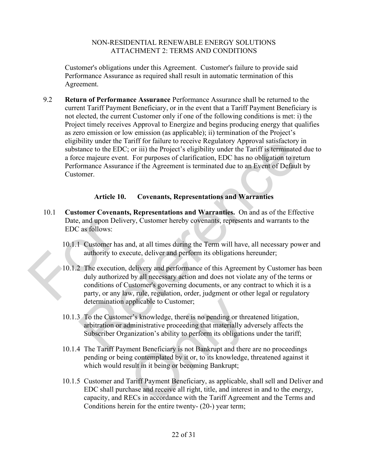Customer's obligations under this Agreement. Customer's failure to provide said Performance Assurance as required shall result in automatic termination of this Agreement.

9.2 **Return of Performance Assurance** Performance Assurance shall be returned to the current Tariff Payment Beneficiary, or in the event that a Tariff Payment Beneficiary is not elected, the current Customer only if one of the following conditions is met: i) the Project timely receives Approval to Energize and begins producing energy that qualifies as zero emission or low emission (as applicable); ii) termination of the Project's eligibility under the Tariff for failure to receive Regulatory Approval satisfactory in substance to the EDC; or iii) the Project's eligibility under the Tariff is terminated due to a force majeure event. For purposes of clarification, EDC has no obligation to return Performance Assurance if the Agreement is terminated due to an Event of Default by Customer.

# **Article 10. Covenants, Representations and Warranties**

- <span id="page-23-0"></span>10.1 **Customer Covenants, Representations and Warranties.** On and as of the Effective Date, and upon Delivery, Customer hereby covenants, represents and warrants to the EDC as follows:
	- 10.1.1 Customer has and, at all times during the Term will have, all necessary power and authority to execute, deliver and perform its obligations hereunder;
- 10.1.2 The execution, delivery and performance of this Agreement by Customer has been duly authorized by all necessary action and does not violate any of the terms or conditions of Customer's governing documents, or any contract to which it is a party, or any law, rule, regulation, order, judgment or other legal or regulatory determination applicable to Customer; Date, and upon Delivery<br>EDC as follows:<br>10.1.1 Customer has and<br>authority to execu<br>10.1.2 The execution, de<br>duly authorized by<br>conditions of Cus<br>party, or any law, bility under the Tariff for failure to receive Regulatory Approval satisfactory in<br>tance to the EDC; or iii) the Project's eligibility under the Tariff is terminated due<br>tace majeure event. For purposes of clarification, E
	- 10.1.3 To the Customer's knowledge, there is no pending or threatened litigation, arbitration or administrative proceeding that materially adversely affects the Subscriber Organization's ability to perform its obligations under the tariff;
	- 10.1.4 The Tariff Payment Beneficiary is not Bankrupt and there are no proceedings pending or being contemplated by it or, to its knowledge, threatened against it which would result in it being or becoming Bankrupt;
	- 10.1.5 Customer and Tariff Payment Beneficiary, as applicable, shall sell and Deliver and EDC shall purchase and receive all right, title, and interest in and to the energy, capacity, and RECs in accordance with the Tariff Agreement and the Terms and Conditions herein for the entire twenty- (20-) year term; pplicable to Customer;<br>er's knowledge, there is no pending or threadministrative proceeding that materially advanization's ability to perform its obligation<br>ment Beneficiary is not Bankrupt and there<br>ng contemplated by it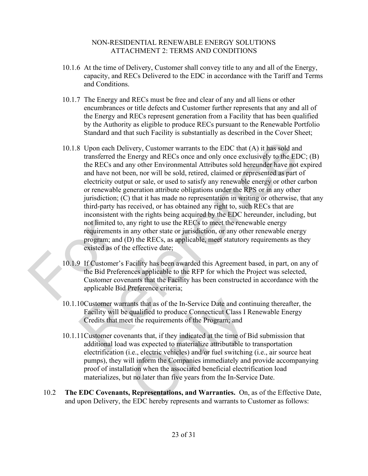- 10.1.6 At the time of Delivery, Customer shall convey title to any and all of the Energy, capacity, and RECs Delivered to the EDC in accordance with the Tariff and Terms and Conditions.
- 10.1.7 The Energy and RECs must be free and clear of any and all liens or other encumbrances or title defects and Customer further represents that any and all of the Energy and RECs represent generation from a Facility that has been qualified by the Authority as eligible to produce RECs pursuant to the Renewable Portfolio Standard and that such Facility is substantially as described in the Cover Sheet;
- 10.1.8 Upon each Delivery, Customer warrants to the EDC that (A) it has sold and transferred the Energy and RECs once and only once exclusively to the EDC; (B) the RECs and any other Environmental Attributes sold hereunder have not expired and have not been, nor will be sold, retired, claimed or represented as part of electricity output or sale, or used to satisfy any renewable energy or other carbon or renewable generation attribute obligations under the RPS or in any other jurisdiction; (C) that it has made no representation in writing or otherwise, that any third-party has received, or has obtained any right to, such RECs that are inconsistent with the rights being acquired by the EDC hereunder, including, but not limited to, any right to use the RECs to meet the renewable energy requirements in any other state or jurisdiction, or any other renewable energy program; and (D) the RECs, as applicable, meet statutory requirements as they existed as of the effective date; not limited to, any<br>requirements in an<br>program; and (D)<br>existed as of the e<br>10.1.9 If Customer's Fac<br>the Bid Preference<br>Customer covenar<br>applicable Bid Pr 8 Upon each Delivery, Customer warrants to the EDC that (A) it has sold and<br>transferred the Energy and RECs once and only once exclusively to the EDC; (B)<br>the RECs and any other Environmental Attributes sold hereunder hav
	- 10.1.9 If Customer's Facility has been awarded this Agreement based, in part, on any of the Bid Preferences applicable to the RFP for which the Project was selected, Customer covenants that the Facility has been constructed in accordance with the applicable Bid Preference criteria;
	- 10.1.10Customer warrants that as of the In-Service Date and continuing thereafter, the Facility will be qualified to produce Connecticut Class I Renewable Energy Credits that meet the requirements of the Program; and
	- 10.1.11Customer covenants that, if they indicated at the time of Bid submission that additional load was expected to materialize attributable to transportation electrification (i.e., electric vehicles) and/or fuel switching (i.e., air source heat pumps), they will inform the Companies immediately and provide accompanying proof of installation when the associated beneficial electrification load materializes, but no later than five years from the In-Service Date. ants that as of the In-Service Date and conti<br>qualified to produce Connecticut Class I R<br>et the requirements of the Program; and<br>nants that, if they indicated at the time of B<br>was expected to materialize attributable to<br>i.
	- 10.2 **The EDC Covenants, Representations, and Warranties.** On, as of the Effective Date, and upon Delivery, the EDC hereby represents and warrants to Customer as follows: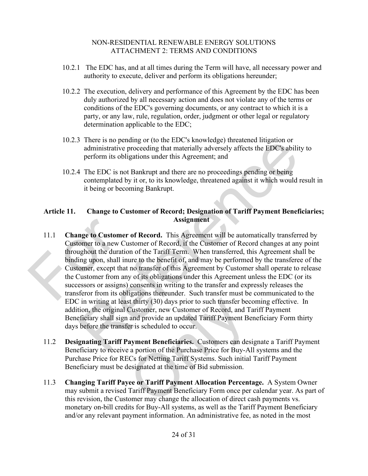- 10.2.1 The EDC has, and at all times during the Term will have, all necessary power and authority to execute, deliver and perform its obligations hereunder;
- 10.2.2 The execution, delivery and performance of this Agreement by the EDC has been duly authorized by all necessary action and does not violate any of the terms or conditions of the EDC's governing documents, or any contract to which it is a party, or any law, rule, regulation, order, judgment or other legal or regulatory determination applicable to the EDC;
- 10.2.3 There is no pending or (to the EDC's knowledge) threatened litigation or administrative proceeding that materially adversely affects the EDC's ability to perform its obligations under this Agreement; and
- 10.2.4 The EDC is not Bankrupt and there are no proceedings pending or being contemplated by it or, to its knowledge, threatened against it which would result in it being or becoming Bankrupt.

# **Article 11. Change to Customer of Record; Designation of Tariff Payment Beneficiaries; Assignment**

- 11.1 **Change to Customer of Record.** This Agreement will be automatically transferred by Customer to a new Customer of Record, if the Customer of Record changes at any point throughout the duration of the Tariff Term. When transferred, this Agreement shall be binding upon, shall inure to the benefit of, and may be performed by the transferee of the Customer, except that no transfer of this Agreement by Customer shall operate to release the Customer from any of its obligations under this Agreement unless the EDC (or its successors or assigns) consents in writing to the transfer and expressly releases the transferor from its obligations thereunder. Such transfer must be communicated to the EDC in writing at least thirty (30) days prior to such transfer becoming effective. In addition, the original Customer, new Customer of Record, and Tariff Payment Beneficiary shall sign and provide an updated Tariff Payment Beneficiary Form thirty days before the transfer is scheduled to occur. 11.1 Change to Customer of<br>Customer to a new Cust<br>throughout the duration<br>binding upon, shall inure<br>Customer, except that no<br>the Customer from any of<br>successors or assigns) co<br>transferor from its oblige There is no pending or (to the EDC s knowledge) threatened lingation or<br>dministrative proceeding that materially adversely affects the EDC's ability to<br>perform its obligations under this Agreement; and<br>4 The EDC is not Ban
	- 11.2 **Designating Tariff Payment Beneficiaries.** Customers can designate a Tariff Payment Beneficiary to receive a portion of the Purchase Price for Buy-All systems and the Purchase Price for RECs for Netting Tariff Systems. Such initial Tariff Payment Beneficiary must be designated at the time of Bid submission. st thirty (30) days prior to such transfer bec<br>Customer, new Customer of Record, and Ta<br>and provide an updated Tariff Payment Be<br>er is scheduled to occur.<br>**ayment Beneficiaries.** Customers can des<br>a portion of the Purchase
	- 11.3 **Changing Tariff Payee or Tariff Payment Allocation Percentage.** A System Owner may submit a revised Tariff Payment Beneficiary Form once per calendar year. As part of this revision, the Customer may change the allocation of direct cash payments vs. monetary on-bill credits for Buy-All systems, as well as the Tariff Payment Beneficiary and/or any relevant payment information. An administrative fee, as noted in the most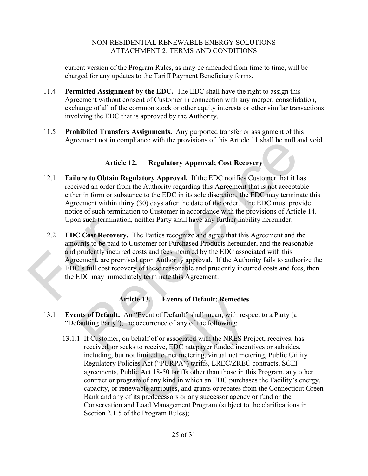current version of the Program Rules, as may be amended from time to time, will be charged for any updates to the Tariff Payment Beneficiary forms.

- 11.4 **Permitted Assignment by the EDC.** The EDC shall have the right to assign this Agreement without consent of Customer in connection with any merger, consolidation, exchange of all of the common stock or other equity interests or other similar transactions involving the EDC that is approved by the Authority.
- 11.5 **Prohibited Transfers Assignments.** Any purported transfer or assignment of this Agreement not in compliance with the provisions of this Article 11 shall be null and void.

# **Article 12. Regulatory Approval; Cost Recovery**

- 12.1 **Failure to Obtain Regulatory Approval.** If the EDC notifies Customer that it has received an order from the Authority regarding this Agreement that is not acceptable either in form or substance to the EDC in its sole discretion, the EDC may terminate this Agreement within thirty (30) days after the date of the order. The EDC must provide notice of such termination to Customer in accordance with the provisions of Article 14. Upon such termination, neither Party shall have any further liability hereunder.
- 12.2 **EDC Cost Recovery.** The Parties recognize and agree that this Agreement and the amounts to be paid to Customer for Purchased Products hereunder, and the reasonable and prudently incurred costs and fees incurred by the EDC associated with this Agreement, are premised upon Authority approval. If the Authority fails to authorize the EDC's full cost recovery of these reasonable and prudently incurred costs and fees, then the EDC may immediately terminate this Agreement. Upon such termination,<br>12.2 EDC Cost Recovery. T<br>amounts to be paid to Cu<br>and prudently incurred c<br>Agreement, are premised<br>EDC's full cost recovery<br>the EDC may immediate inement not in compliance with the provisions of this Article 11 shall be null and void and the Article 12. Regulatory Approval, Cost Recovery<br>
are to Obtain Regulatory Approval. If the EDC notifies Customer that it has<br>
v

# **Article 13. Events of Default; Remedies**

- <span id="page-26-0"></span>13.1 **Events of Default.** An "Event of Default" shall mean, with respect to a Party (a "Defaulting Party"), the occurrence of any of the following:
- 13.1.1 If Customer, on behalf of or associated with the NRES Project, receives, has received, or seeks to receive, EDC ratepayer funded incentives or subsides, including, but not limited to, net metering, virtual net metering, Public Utility Regulatory Policies Act ("PURPA") tariffs, LREC/ZREC contracts, SCEF agreements, Public Act 18-50 tariffs other than those in this Program, any other contract or program of any kind in which an EDC purchases the Facility's energy, capacity, or renewable attributes, and grants or rebates from the Connecticut Green Bank and any of its predecessors or any successor agency or fund or the Conservation and Load Management Program (subject to the clarifications in Section 2.1.5 of the Program Rules); ticle 13. Events of Default; Remedies<br>
In "Event of Default" shall mean, with resp<br>
he occurrence of any of the following:<br>
he behalf of or associated with the NRES Prc<br>
less to receive, EDC ratepayer funded incent<br>
not li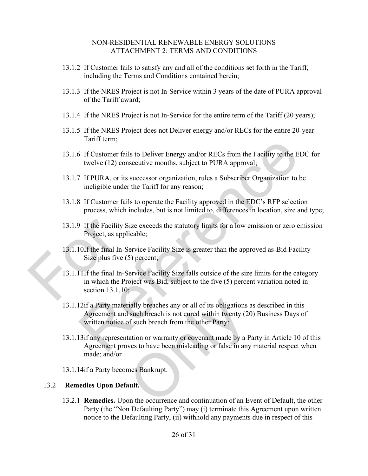- 13.1.2 If Customer fails to satisfy any and all of the conditions set forth in the Tariff, including the Terms and Conditions contained herein;
- 13.1.3 If the NRES Project is not In-Service within 3 years of the date of PURA approval of the Tariff award;
- 13.1.4 If the NRES Project is not In-Service for the entire term of the Tariff (20 years);
- 13.1.5 If the NRES Project does not Deliver energy and/or RECs for the entire 20-year Tariff term;
- 13.1.6 If Customer fails to Deliver Energy and/or RECs from the Facility to the EDC for twelve (12) consecutive months, subject to PURA approval;
- 13.1.7 If PURA, or its successor organization, rules a Subscriber Organization to be ineligible under the Tariff for any reason;
- 13.1.8 If Customer fails to operate the Facility approved in the EDC's RFP selection process, which includes, but is not limited to, differences in location, size and type;
- 13.1.9 If the Facility Size exceeds the statutory limits for a low emission or zero emission Project, as applicable;
- 13.1.10If the final In-Service Facility Size is greater than the approved as-Bid Facility Size plus five (5) percent;
- 13.1.11If the final In-Service Facility Size falls outside of the size limits for the category in which the Project was Bid, subject to the five (5) percent variation noted in section 13.1.10; 13.1.9 If the Facility Size<br>Project, as applica<br>Project, as applica<br>13.1.10If the final In-Ser<br>Size plus five (5)<br>13.1.11If the final In-Ser<br>in which the Proje<br>section 13.1.10; Family term,<br>
if Customer fails to Deliver Energy and/or RECs from the Facility to the EDC for<br>
twelve (12) consecutive months, subject to PURA approval;<br>
If PURA, or its successor organization, rules a Subscriber Organiz
	- 13.1.12if a Party materially breaches any or all of its obligations as described in this Agreement and such breach is not cured within twenty (20) Business Days of written notice of such breach from the other Party;
	- 13.1.13if any representation or warranty or covenant made by a Party in Article 10 of this Agreement proves to have been misleading or false in any material respect when made; and/or Trially breaches any or all of its obligations at such breach is not cured within twenty (20<br>of such breach from the other Party;<br>tation or warranty or covenant made by a Pa<br>ves to have been misleading or false in any<br>mes
	- 13.1.14if a Party becomes Bankrupt.

### <span id="page-27-0"></span>13.2 **Remedies Upon Default.**

13.2.1 **Remedies.** Upon the occurrence and continuation of an Event of Default, the other Party (the "Non Defaulting Party") may (i) terminate this Agreement upon written notice to the Defaulting Party, (ii) withhold any payments due in respect of this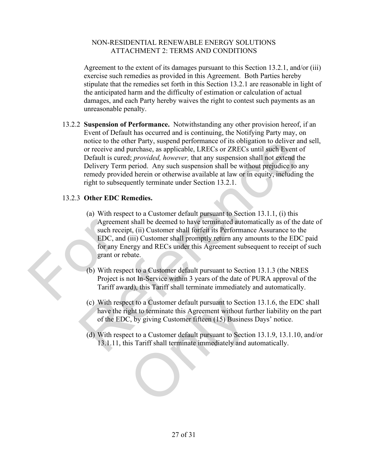Agreement to the extent of its damages pursuant to this Section [13.2.1,](#page-27-0) and/or (iii) exercise such remedies as provided in this Agreement. Both Parties hereby stipulate that the remedies set forth in this Section [13.2.1](#page-27-0) are reasonable in light of the anticipated harm and the difficulty of estimation or calculation of actual damages, and each Party hereby waives the right to contest such payments as an unreasonable penalty.

13.2.2 **Suspension of Performance.** Notwithstanding any other provision hereof, if an Event of Default has occurred and is continuing, the Notifying Party may, on notice to the other Party, suspend performance of its obligation to deliver and sell, or receive and purchase, as applicable, LRECs or ZRECs until such Event of Default is cured; *provided, however,* that any suspension shall not extend the Delivery Term period. Any such suspension shall be without prejudice to any remedy provided herein or otherwise available at law or in equity, including the right to subsequently terminate under Section 13.2.1.

# 13.2.3 **Other EDC Remedies.**

- (a) With respect to a Customer default pursuant to Section 13.1.1, (i) this Agreement shall be deemed to have terminated automatically as of the date of such receipt, (ii) Customer shall forfeit its Performance Assurance to the EDC, and (iii) Customer shall promptly return any amounts to the EDC paid for any Energy and RECs under this Agreement subsequent to receipt of such grant or rebate. Agreement sl<br>
such receipt,<br>
EDC, and (iii)<br>
for any Energ<br>
grant or rebat<br>
(b) With respect<br>
Project is not<br>
Tariff award notice to the other Party, suspend performa[nc](#page-27-0)e of its obligation to deliver and sell<br>or receive and purchase, as applicable, LRECs or ZRECs until such Event of<br>Default is cured; *however*, that any suspension shall not ex
	- (b) With respect to a Customer default pursuant to Section 13.1.3 (the NRES Project is not In-Service within 3 years of the date of PURA approval of the Tariff award), this Tariff shall terminate immediately and automatically.
	- (c) With respect to a Customer default pursuant to Section 13.1.6, the EDC shall have the right to terminate this Agreement without further liability on the part of the EDC, by giving Customer fifteen (15) Business Days' notice. ect to a Customer default pursuant to Sectio<br>ght to terminate this Agreement without functions of the U.S. by giving Customer fifteen (15) Business<br>ect to a Customer default pursuant to Sections Tariff shall terminate imme
	- (d) With respect to a Customer default pursuant to Section 13.1.9, 13.1.10, and/or 13.1.11, this Tariff shall terminate immediately and automatically.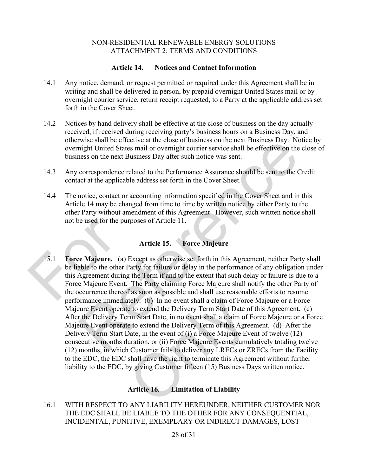# **Article 14. Notices and Contact Information**

- <span id="page-29-0"></span>14.1 Any notice, demand, or request permitted or required under this Agreement shall be in writing and shall be delivered in person, by prepaid overnight United States mail or by overnight courier service, return receipt requested, to a Party at the applicable address set forth in the Cover Sheet.
- 14.2 Notices by hand delivery shall be effective at the close of business on the day actually received, if received during receiving party's business hours on a Business Day, and otherwise shall be effective at the close of business on the next Business Day. Notice by overnight United States mail or overnight courier service shall be effective on the close of business on the next Business Day after such notice was sent.
- 14.3 Any correspondence related to the Performance Assurance should be sent to the Credit contact at the applicable address set forth in the Cover Sheet.
- 14.4 The notice, contact or accounting information specified in the Cover Sheet and in this [Article 14](#page-29-0) may be changed from time to time by written notice by either Party to the other Party without amendment of this Agreement However, such written notice shall not be used for the purposes of Article 11.

# **Article 15. Force Majeure**

15.1 **Force Majeure.** (a) Except as otherwise set forth in this Agreement, neither Party shall be liable to the other Party for failure or delay in the performance of any obligation under this Agreement during the Term if and to the extent that such delay or failure is due to a Force Majeure Event. The Party claiming Force Majeure shall notify the other Party of the occurrence thereof as soon as possible and shall use reasonable efforts to resume performance immediately. (b) In no event shall a claim of Force Majeure or a Force Majeure Event operate to extend the Delivery Term Start Date of this Agreement. (c) After the Delivery Term Start Date, in no event shall a claim of Force Majeure or a Force Majeure Event operate to extend the Delivery Term of this Agreement. (d) After the Delivery Term Start Date, in the event of (i) a Force Majeure Event of twelve (12) consecutive months duration, or (ii) Force Majeure Events cumulatively totaling twelve (12) months, in which Customer fails to deliver any LRECs or ZRECs from the Facility to the EDC, the EDC shall have the right to terminate this Agreement without further liability to the EDC, by giving Customer fifteen (15) Business Days written notice. not be used for the purpo<br>
15.1 Force Majeure. (a) Ex<br>
be liable to the other Par<br>
this Agreement during the<br>
Force Majeure Event. T<br>
the occurrence thereof as<br>
performance immediatel was shall be relective at the close of business on the next Business Day. Notice by<br>thight United States mail or overnight courier service shall be effective on the close<br>ness on the next Business Day after such notice was tely. (b) In no event shall a claim of Force<br>e to extend the Delivery Term Start Date of<br>rm Start Date, in no event shall a claim of F<br>e to extend the Delivery Term of this Agree<br>Date, in the event of (i) a Force Majeure E

# **Article 16. Limitation of Liability**

16.1 WITH RESPECT TO ANY LIABILITY HEREUNDER, NEITHER CUSTOMER NOR THE EDC SHALL BE LIABLE TO THE OTHER FOR ANY CONSEQUENTIAL, INCIDENTAL, PUNITIVE, EXEMPLARY OR INDIRECT DAMAGES, LOST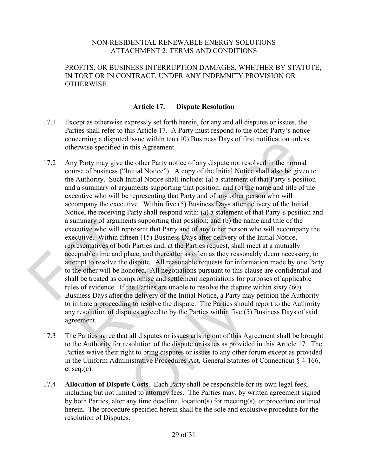PROFITS, OR BUSINESS INTERRUPTION DAMAGES, WHETHER BY STATUTE, IN TORT OR IN CONTRACT, UNDER ANY INDEMNITY PROVISION OR OTHERWISE.

# **Article 17. Dispute Resolution**

- 17.1 Except as otherwise expressly set forth herein, for any and all disputes or issues, the Parties shall refer to this Article 17. A Party must respond to the other Party's notice concerning a disputed issue within ten (10) Business Days of first notification unless otherwise specified in this Agreement.
- 17.2 Any Party may give the other Party notice of any dispute not resolved in the normal course of business ("Initial Notice"). A copy of the Initial Notice shall also be given to the Authority. Such Initial Notice shall include: (a) a statement of that Party's position and a summary of arguments supporting that position; and (b) the name and title of the executive who will be representing that Party and of any other person who will accompany the executive. Within five (5) Business Days after delivery of the Initial Notice, the receiving Party shall respond with: (a) a statement of that Party's position and a summary of arguments supporting that position; and (b) the name and title of the executive who will represent that Party and of any other person who will accompany the executive. Within fifteen (15) Business Days after delivery of the Initial Notice, representatives of both Parties and, at the Parties request, shall meet at a mutually acceptable time and place, and thereafter as often as they reasonably deem necessary, to attempt to resolve the dispute. All reasonable requests for information made by one Party to the other will be honored. All negotiations pursuant to this clause are confidential and shall be treated as compromise and settlement negotiations for purposes of applicable rules of evidence. If the Parties are unable to resolve the dispute within sixty (60) Business Days after the delivery of the Initial Notice, a Party may petition the Authority to initiate a proceeding to resolve the dispute. The Parties should report to the Authority any resolution of disputes agreed to by the Parties within five (5) Business Days of said agreement. a summary of arguments<br>executive who will repre<br>executive. Within fiftee<br>representatives of both F<br>acceptable time and plac<br>attempt to resolve the di<br>to the other will be hono<br>shall be treated as comp<br>rules of evidence. If erming a displued issue whim tent (10) business Days of intstructured in the compare wise specified in this Agreement.<br>
Party may give the other Party notice of any dispute not resolved in the normal<br>
Party may give the ot
	- 17.3 The Parties agree that all disputes or issues arising out of this Agreement shall be brought to the Authority for resolution of the dispute or issues as provided in this Article 17. The Parties waive their right to bring disputes or issues to any other forum except as provided in the Uniform Administrative Procedures Act, General Statutes of Connecticut § 4-166, et seq.(c). g to resolve the dispute. The Parties should<br>g to resolve the dispute. The Parties should<br>utes agreed to by the Parties within five (5)<br>all disputes or issues arising out of this Ag<br>solution of the dispute or issues as pro
	- 17.4 **Allocation of Dispute Costs**. Each Party shall be responsible for its own legal fees, including but not limited to attorney fees. The Parties may, by written agreement signed by both Parties, alter any time deadline, location(s) for meeting(s), or procedure outlined herein. The procedure specified herein shall be the sole and exclusive procedure for the resolution of Disputes.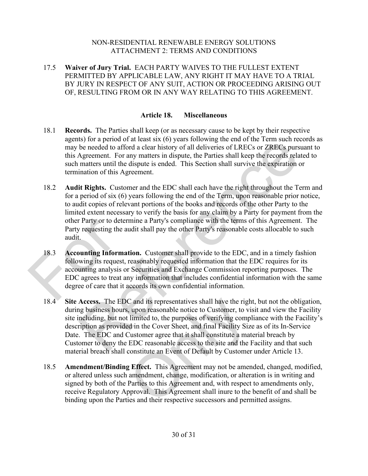17.5 **Waiver of Jury Trial.** EACH PARTY WAIVES TO THE FULLEST EXTENT PERMITTED BY APPLICABLE LAW, ANY RIGHT IT MAY HAVE TO A TRIAL BY JURY IN RESPECT OF ANY SUIT, ACTION OR PROCEEDING ARISING OUT OF, RESULTING FROM OR IN ANY WAY RELATING TO THIS AGREEMENT.

# **Article 18. Miscellaneous**

- 18.1 **Records.** The Parties shall keep (or as necessary cause to be kept by their respective agents) for a period of at least six (6) years following the end of the Term such records as may be needed to afford a clear history of all deliveries of LRECs or ZRECs pursuant to this Agreement. For any matters in dispute, the Parties shall keep the records related to such matters until the dispute is ended. This Section shall survive the expiration or termination of this Agreement.
- 18.2 **Audit Rights.** Customer and the EDC shall each have the right throughout the Term and for a period of six (6) years following the end of the Term, upon reasonable prior notice, to audit copies of relevant portions of the books and records of the other Party to the limited extent necessary to verify the basis for any claim by a Party for payment from the other Party or to determine a Party's compliance with the terms of this Agreement. The Party requesting the audit shall pay the other Party's reasonable costs allocable to such audit. Is n'a period of at least sax (b) years ionwing in en each of the remistant procons.<br>Be needed to afford a clear history of all deliveries of LRECs or ZRECs presument. For any matters in dispute, the Parties shall keep the
- 18.3 **Accounting Information.** Customer shall provide to the EDC, and in a timely fashion following its request, reasonably requested information that the EDC requires for its accounting analysis or Securities and Exchange Commission reporting purposes. The EDC agrees to treat any information that includes confidential information with the same degree of care that it accords its own confidential information. other Party or to determined and the and and the audit.<br>
18.3 Accounting Information following its request, reaccounting analysis or S<br>
EDC agrees to treat any degree of care that it accounting analysis or S<br>
EDC agrees to
	- 18.4 **Site Access.** The EDC and its representatives shall have the right, but not the obligation, during business hours, upon reasonable notice to Customer, to visit and view the Facility site including, but not limited to, the purposes of verifying compliance with the Facility's description as provided in the Cover Sheet, and final Facility Size as of its In-Service Date. The EDC and Customer agree that it shall constitute a material breach by Customer to deny the EDC reasonable access to the site and the Facility and that such material breach shall constitute an Event of Default by Customer under Article 13. C and its representatives shall have the righ, upon reasonable notice to Customer, to via<br>
	i limited to, the purposes of verifying compled in the Cover Sheet, and final Facility Size<br>
	Customer agree that it shall constitut
	- 18.5 **Amendment/Binding Effect.** This Agreement may not be amended, changed, modified, or altered unless such amendment, change, modification, or alteration is in writing and signed by both of the Parties to this Agreement and, with respect to amendments only, receive Regulatory Approval. This Agreement shall inure to the benefit of and shall be binding upon the Parties and their respective successors and permitted assigns.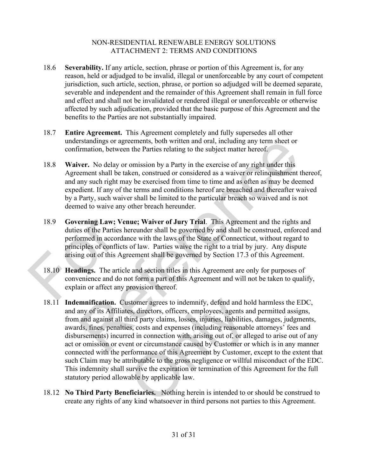- 18.6 **Severability.** If any article, section, phrase or portion of this Agreement is, for any reason, held or adjudged to be invalid, illegal or unenforceable by any court of competent jurisdiction, such article, section, phrase, or portion so adjudged will be deemed separate, severable and independent and the remainder of this Agreement shall remain in full force and effect and shall not be invalidated or rendered illegal or unenforceable or otherwise affected by such adjudication, provided that the basic purpose of this Agreement and the benefits to the Parties are not substantially impaired.
- 18.7 **Entire Agreement.** This Agreement completely and fully supersedes all other understandings or agreements, both written and oral, including any term sheet or confirmation, between the Parties relating to the subject matter hereof.
- 18.8 **Waiver.** No delay or omission by a Party in the exercise of any right under this Agreement shall be taken, construed or considered as a waiver or relinquishment thereof, and any such right may be exercised from time to time and as often as may be deemed expedient. If any of the terms and conditions hereof are breached and thereafter waived by a Party, such waiver shall be limited to the particular breach so waived and is not deemed to waive any other breach hereunder.
- 18.9 **Governing Law; Venue; Waiver of Jury Trial**. This Agreement and the rights and duties of the Parties hereunder shall be governed by and shall be construed, enforced and performed in accordance with the laws of the State of Connecticut, without regard to principles of conflicts of law. Parties waive the right to a trial by jury. Any dispute arising out of this Agreement shall be governed by Section 17.3 of this Agreement. 18.9 Governing Law; Venue<br>
duties of the Parties here<br>
performed in accordance<br>
principles of conflicts of<br>
arising out of this Agree<br>
18.10 Headings. The article a<br>
convenience and do not<br>
explain or affect any pro
	- 18.10 **Headings.** The article and section titles in this Agreement are only for purposes of convenience and do not form a part of this Agreement and will not be taken to qualify, explain or affect any provision thereof.
- 18.11 **Indemnification.** Customer agrees to indemnify, defend and hold harmless the EDC, and any of its Affiliates, directors, officers, employees, agents and permitted assigns, from and against all third party claims, losses, injuries, liabilities, damages, judgments, awards, fines, penalties, costs and expenses (including reasonable attorneys' fees and disbursements) incurred in connection with, arising out of, or alleged to arise out of any act or omission or event or circumstance caused by Customer or which is in any manner connected with the performance of this Agreement by Customer, except to the extent that such Claim may be attributable to the gross negligence or willful misconduct of the EDC. This indemnity shall survive the expiration or termination of this Agreement for the full statutory period allowable by applicable law. erstandings or agreements, both written and oral, including any term sheet or<br>
orntation, between the Parties relating to the subject matter hereof.<br>
ver. No delay or omission by a Party in the excretise of any right under istomer agrees to indemnify, defend and holes, directors, officers, employees, agents an hird party claims, losses, injuries, liabilities.<br>Expectively, cost and expenses (including reasonable ed in connection with, arising
	- 18.12 **No Third Party Beneficiaries.** Nothing herein is intended to or should be construed to create any rights of any kind whatsoever in third persons not parties to this Agreement.